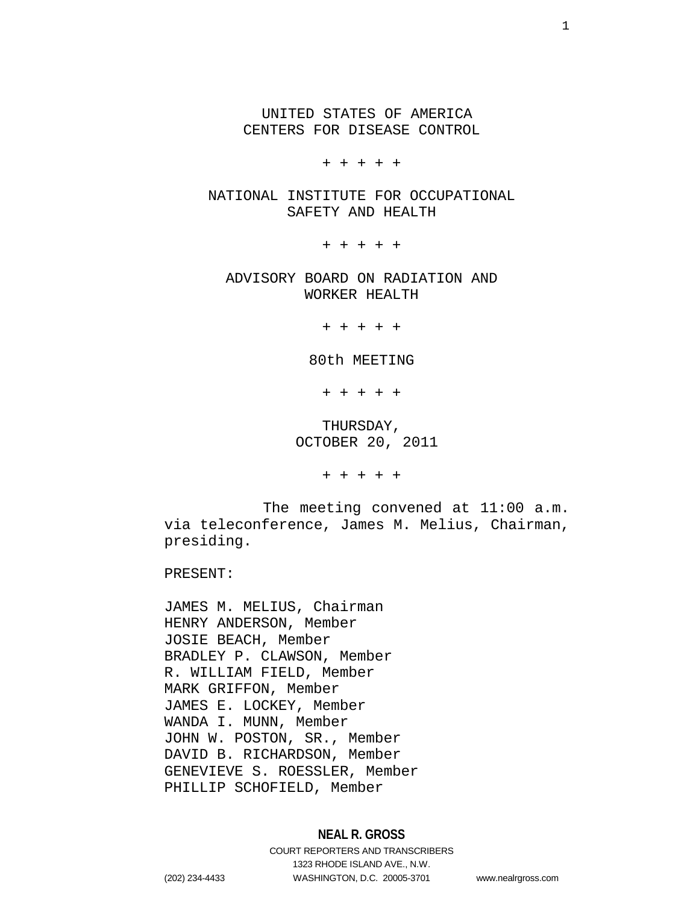UNITED STATES OF AMERICA CENTERS FOR DISEASE CONTROL

+ + + + +

NATIONAL INSTITUTE FOR OCCUPATIONAL SAFETY AND HEALTH

+ + + + +

ADVISORY BOARD ON RADIATION AND WORKER HEALTH

+ + + + +

80th MEETING

+ + + + +

THURSDAY, OCTOBER 20, 2011

+ + + + +

The meeting convened at 11:00 a.m. via teleconference, James M. Melius, Chairman, presiding.

PRESENT:

JAMES M. MELIUS, Chairman HENRY ANDERSON, Member JOSIE BEACH, Member BRADLEY P. CLAWSON, Member R. WILLIAM FIELD, Member MARK GRIFFON, Member JAMES E. LOCKEY, Member WANDA I. MUNN, Member JOHN W. POSTON, SR., Member DAVID B. RICHARDSON, Member GENEVIEVE S. ROESSLER, Member PHILLIP SCHOFIELD, Member

# **NEAL R. GROSS**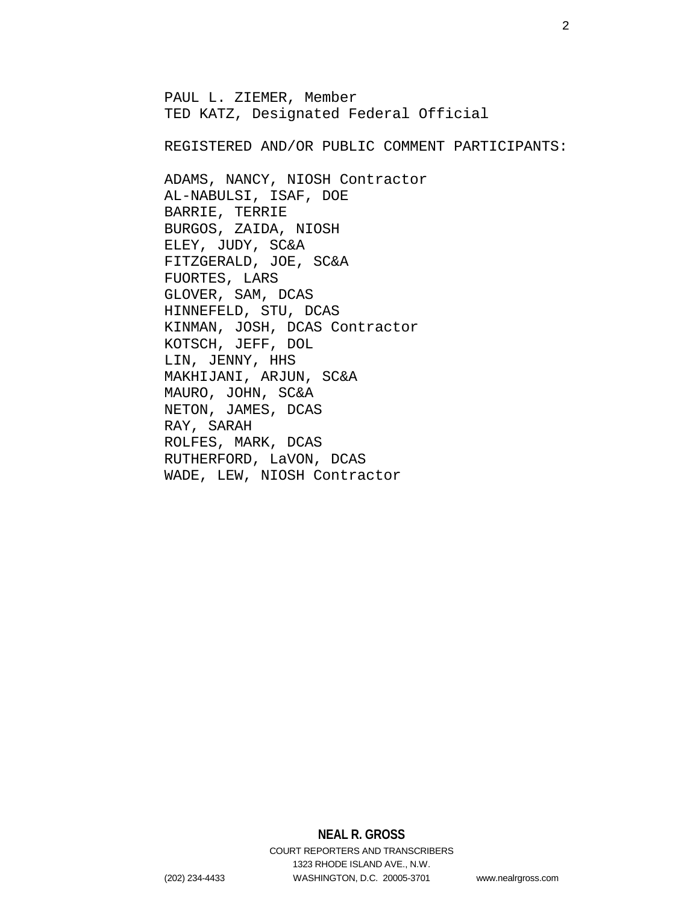PAUL L. ZIEMER, Member TED KATZ, Designated Federal Official REGISTERED AND/OR PUBLIC COMMENT PARTICIPANTS: ADAMS, NANCY, NIOSH Contractor AL-NABULSI, ISAF, DOE BARRIE, TERRIE BURGOS, ZAIDA, NIOSH ELEY, JUDY, SC&A FITZGERALD, JOE, SC&A FUORTES, LARS GLOVER, SAM, DCAS HINNEFELD, STU, DCAS KINMAN, JOSH, DCAS Contractor KOTSCH, JEFF, DOL LIN, JENNY, HHS MAKHIJANI, ARJUN, SC&A MAURO, JOHN, SC&A NETON, JAMES, DCAS RAY, SARAH ROLFES, MARK, DCAS RUTHERFORD, LaVON, DCAS WADE, LEW, NIOSH Contractor

> **NEAL R. GROSS** COURT REPORTERS AND TRANSCRIBERS 1323 RHODE ISLAND AVE., N.W.

(202) 234-4433 WASHINGTON, D.C. 20005-3701 www.nealrgross.com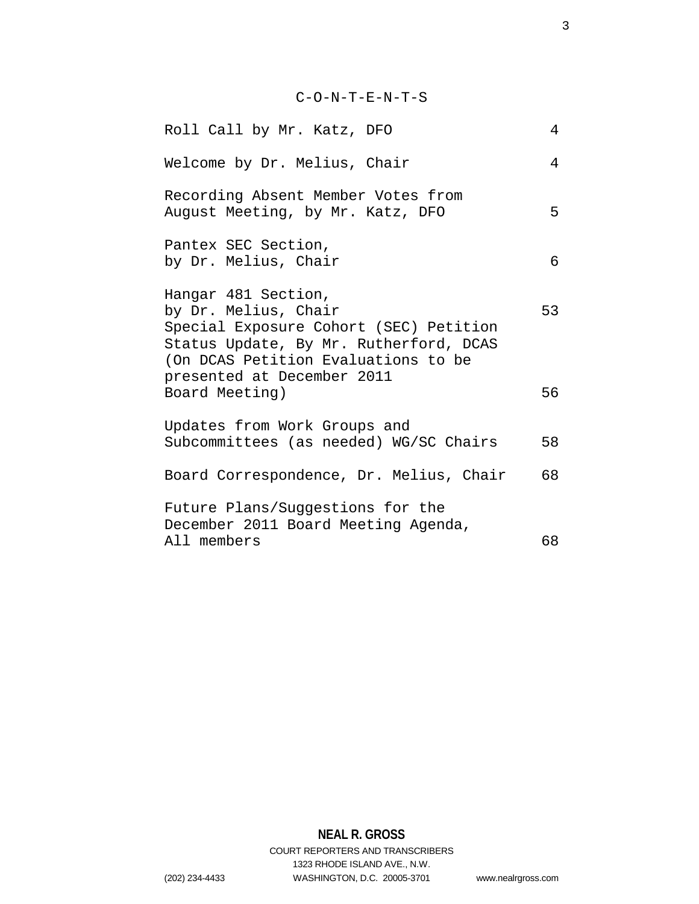# C-O-N-T-E-N-T-S

| Roll Call by Mr. Katz, DFO                                                                                                                                             | 4  |
|------------------------------------------------------------------------------------------------------------------------------------------------------------------------|----|
| Welcome by Dr. Melius, Chair                                                                                                                                           | 4  |
| Recording Absent Member Votes from<br>August Meeting, by Mr. Katz, DFO                                                                                                 | 5  |
| Pantex SEC Section,<br>by Dr. Melius, Chair                                                                                                                            | 6  |
| Hangar 481 Section,<br>by Dr. Melius, Chair<br>Special Exposure Cohort (SEC) Petition<br>Status Update, By Mr. Rutherford, DCAS<br>(On DCAS Petition Evaluations to be | 53 |
| presented at December 2011<br>Board Meeting)                                                                                                                           | 56 |
| Updates from Work Groups and<br>Subcommittees (as needed) WG/SC Chairs                                                                                                 | 58 |
| Board Correspondence, Dr. Melius, Chair                                                                                                                                | 68 |
| Future Plans/Suggestions for the                                                                                                                                       |    |
| December 2011 Board Meeting Agenda,<br>All members                                                                                                                     | 68 |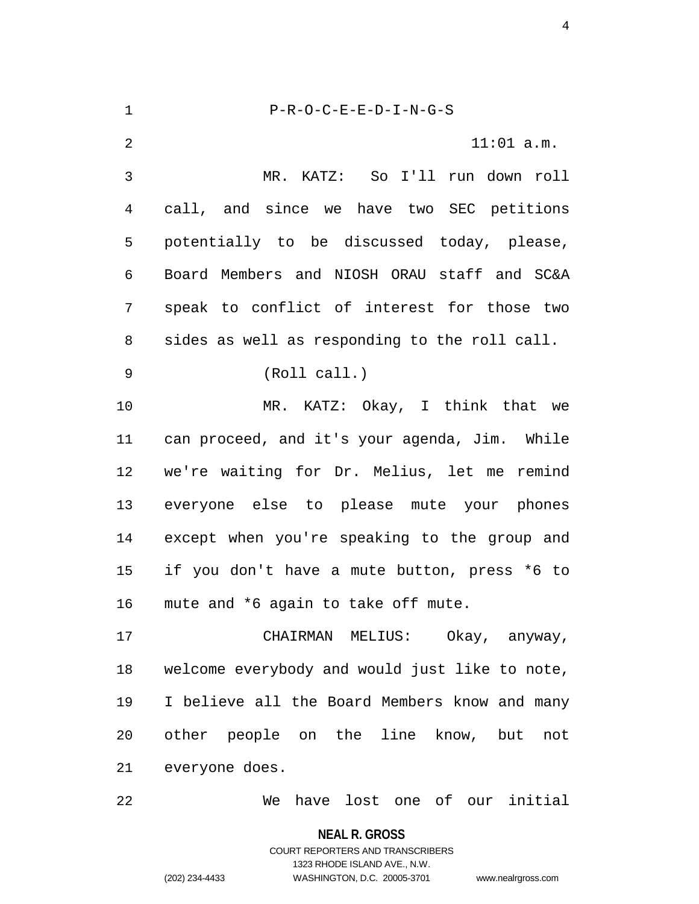1 P-R-O-C-E-E-D-I-N-G-S 2 11:01 a.m. 3 MR. KATZ: So I'll run down roll 4 call, and since we have two SEC petitions 5 potentially to be discussed today, please, 6 Board Members and NIOSH ORAU staff and SC&A 7 speak to conflict of interest for those two 8 sides as well as responding to the roll call. 9 (Roll call.) 10 MR. KATZ: Okay, I think that we 11 can proceed, and it's your agenda, Jim. While 12 we're waiting for Dr. Melius, let me remind 13 everyone else to please mute your phones 14 except when you're speaking to the group and 15 if you don't have a mute button, press \*6 to 16 mute and \*6 again to take off mute. 17 CHAIRMAN MELIUS: Okay, anyway, 18 welcome everybody and would just like to note, 19 I believe all the Board Members know and many 20 other people on the line know, but not 21 everyone does. 22 We have lost one of our initial

> **NEAL R. GROSS** COURT REPORTERS AND TRANSCRIBERS 1323 RHODE ISLAND AVE., N.W. (202) 234-4433 WASHINGTON, D.C. 20005-3701 www.nealrgross.com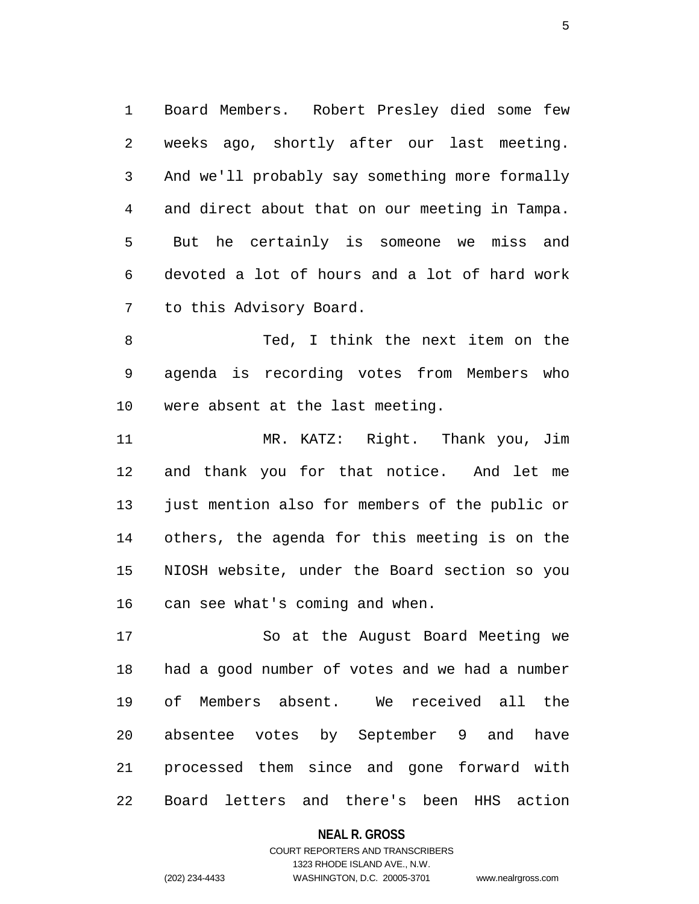1 Board Members. Robert Presley died some few 2 weeks ago, shortly after our last meeting. 3 And we'll probably say something more formally 4 and direct about that on our meeting in Tampa. 5 But he certainly is someone we miss and 6 devoted a lot of hours and a lot of hard work 7 to this Advisory Board.

8 Ted, I think the next item on the 9 agenda is recording votes from Members who 10 were absent at the last meeting.

11 MR. KATZ: Right. Thank you, Jim 12 and thank you for that notice. And let me 13 just mention also for members of the public or 14 others, the agenda for this meeting is on the 15 NIOSH website, under the Board section so you 16 can see what's coming and when.

17 So at the August Board Meeting we 18 had a good number of votes and we had a number 19 of Members absent. We received all the 20 absentee votes by September 9 and have 21 processed them since and gone forward with 22 Board letters and there's been HHS action

#### **NEAL R. GROSS**

## COURT REPORTERS AND TRANSCRIBERS 1323 RHODE ISLAND AVE., N.W. (202) 234-4433 WASHINGTON, D.C. 20005-3701 www.nealrgross.com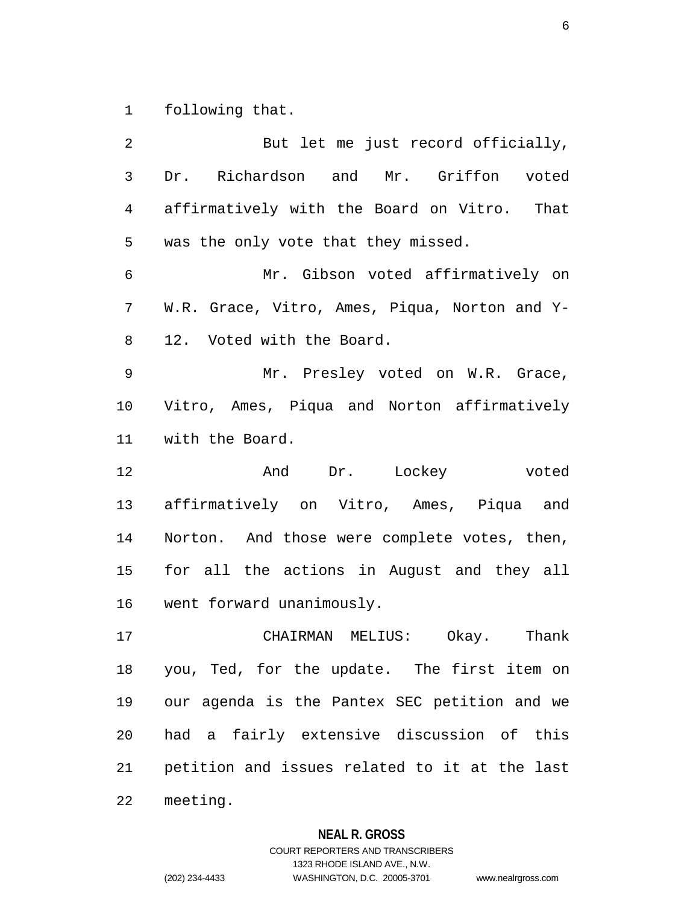1 following that.

2 But let me just record officially, 3 Dr. Richardson and Mr. Griffon voted 4 affirmatively with the Board on Vitro. That 5 was the only vote that they missed. 6 Mr. Gibson voted affirmatively on 7 W.R. Grace, Vitro, Ames, Piqua, Norton and Y-8 12. Voted with the Board. 9 Mr. Presley voted on W.R. Grace, 10 Vitro, Ames, Piqua and Norton affirmatively 11 with the Board. 12 And Dr. Lockey voted 13 affirmatively on Vitro, Ames, Piqua and 14 Norton. And those were complete votes, then, 15 for all the actions in August and they all 16 went forward unanimously. 17 CHAIRMAN MELIUS: Okay. Thank 18 you, Ted, for the update. The first item on 19 our agenda is the Pantex SEC petition and we 20 had a fairly extensive discussion of this 21 petition and issues related to it at the last 22 meeting.

#### **NEAL R. GROSS**

COURT REPORTERS AND TRANSCRIBERS 1323 RHODE ISLAND AVE., N.W. (202) 234-4433 WASHINGTON, D.C. 20005-3701 www.nealrgross.com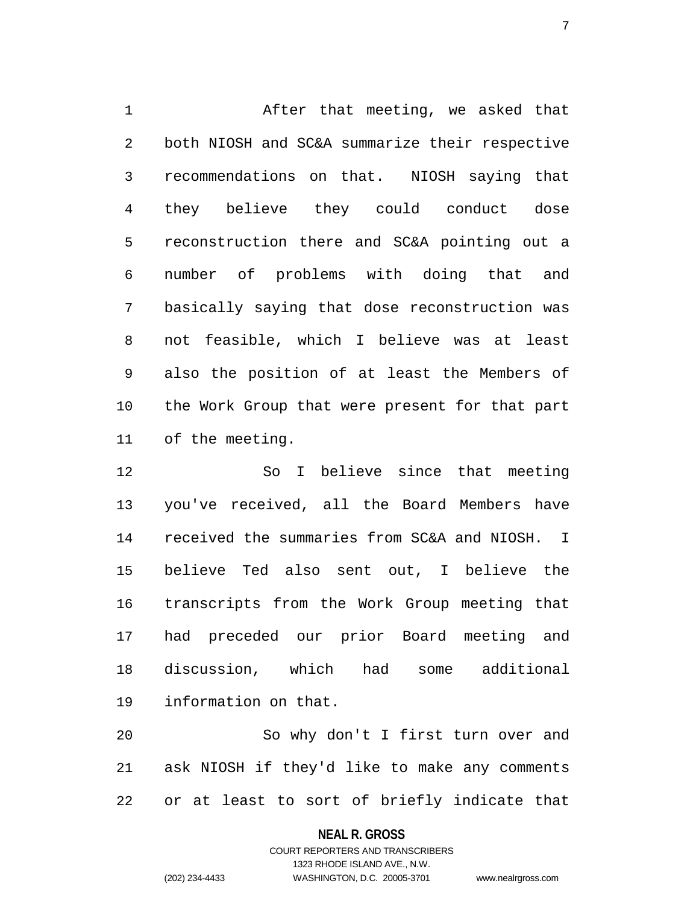1 After that meeting, we asked that 2 both NIOSH and SC&A summarize their respective 3 recommendations on that. NIOSH saying that 4 they believe they could conduct dose 5 reconstruction there and SC&A pointing out a 6 number of problems with doing that and 7 basically saying that dose reconstruction was 8 not feasible, which I believe was at least 9 also the position of at least the Members of 10 the Work Group that were present for that part 11 of the meeting.

12 So I believe since that meeting 13 you've received, all the Board Members have 14 received the summaries from SC&A and NIOSH. I 15 believe Ted also sent out, I believe the 16 transcripts from the Work Group meeting that 17 had preceded our prior Board meeting and 18 discussion, which had some additional 19 information on that.

20 So why don't I first turn over and 21 ask NIOSH if they'd like to make any comments 22 or at least to sort of briefly indicate that

**NEAL R. GROSS**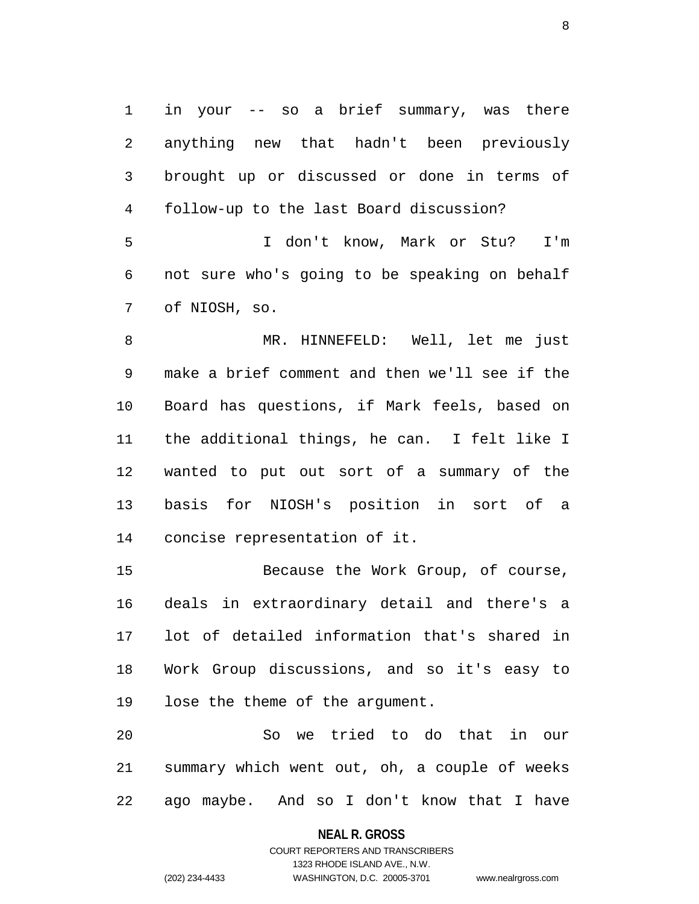1 in your -- so a brief summary, was there 2 anything new that hadn't been previously 3 brought up or discussed or done in terms of 4 follow-up to the last Board discussion?

5 I don't know, Mark or Stu? I'm 6 not sure who's going to be speaking on behalf 7 of NIOSH, so.

8 MR. HINNEFELD: Well, let me just 9 make a brief comment and then we'll see if the 10 Board has questions, if Mark feels, based on 11 the additional things, he can. I felt like I 12 wanted to put out sort of a summary of the 13 basis for NIOSH's position in sort of a 14 concise representation of it.

15 Because the Work Group, of course, 16 deals in extraordinary detail and there's a 17 lot of detailed information that's shared in 18 Work Group discussions, and so it's easy to 19 lose the theme of the argument.

20 So we tried to do that in our 21 summary which went out, oh, a couple of weeks 22 ago maybe. And so I don't know that I have

**NEAL R. GROSS**

COURT REPORTERS AND TRANSCRIBERS 1323 RHODE ISLAND AVE., N.W. (202) 234-4433 WASHINGTON, D.C. 20005-3701 www.nealrgross.com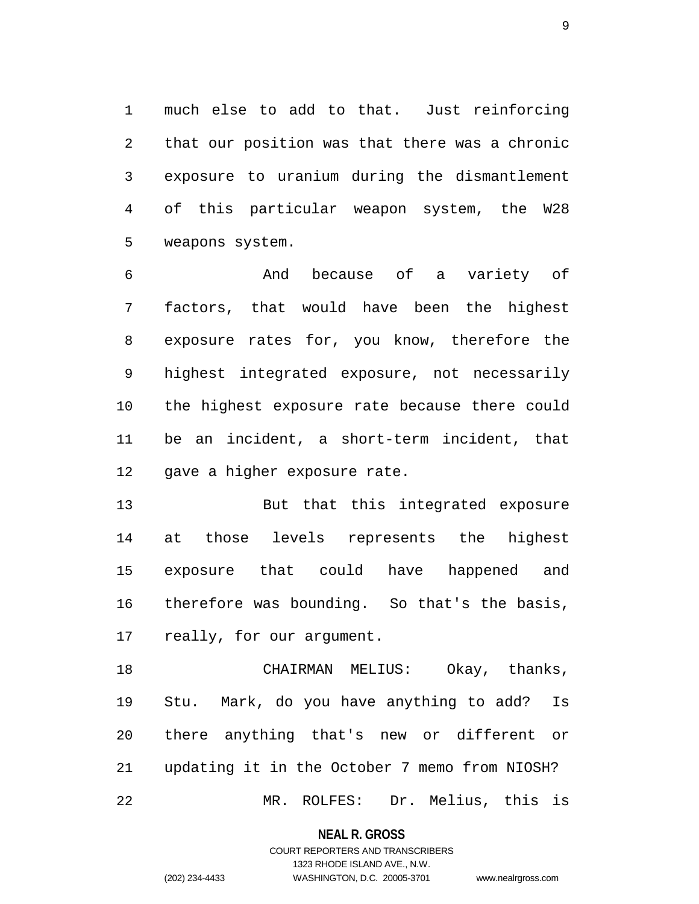1 much else to add to that. Just reinforcing 2 that our position was that there was a chronic 3 exposure to uranium during the dismantlement 4 of this particular weapon system, the W28 5 weapons system.

6 And because of a variety of 7 factors, that would have been the highest 8 exposure rates for, you know, therefore the 9 highest integrated exposure, not necessarily 10 the highest exposure rate because there could 11 be an incident, a short-term incident, that 12 gave a higher exposure rate.

13 But that this integrated exposure 14 at those levels represents the highest 15 exposure that could have happened and 16 therefore was bounding. So that's the basis, 17 really, for our argument.

18 CHAIRMAN MELIUS: Okay, thanks, 19 Stu. Mark, do you have anything to add? Is 20 there anything that's new or different or 21 updating it in the October 7 memo from NIOSH? 22 MR. ROLFES: Dr. Melius, this is

**NEAL R. GROSS**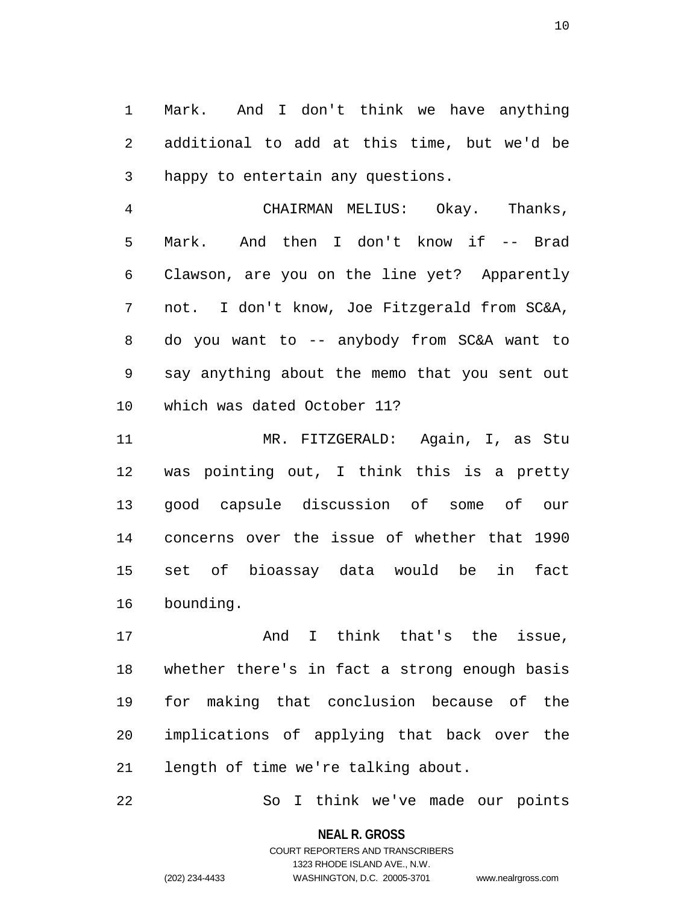1 Mark. And I don't think we have anything 2 additional to add at this time, but we'd be 3 happy to entertain any questions.

4 CHAIRMAN MELIUS: Okay. Thanks, 5 Mark. And then I don't know if -- Brad 6 Clawson, are you on the line yet? Apparently 7 not. I don't know, Joe Fitzgerald from SC&A, 8 do you want to -- anybody from SC&A want to 9 say anything about the memo that you sent out 10 which was dated October 11?

11 MR. FITZGERALD: Again, I, as Stu 12 was pointing out, I think this is a pretty 13 good capsule discussion of some of our 14 concerns over the issue of whether that 1990 15 set of bioassay data would be in fact 16 bounding.

17 and I think that's the issue, 18 whether there's in fact a strong enough basis 19 for making that conclusion because of the 20 implications of applying that back over the 21 length of time we're talking about.

22 So I think we've made our points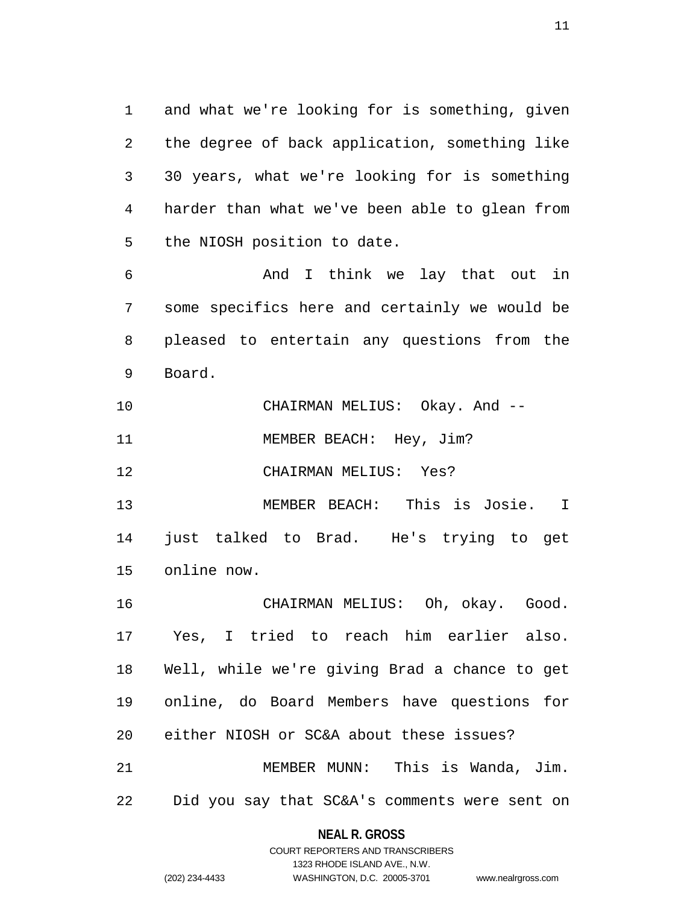1 and what we're looking for is something, given 2 the degree of back application, something like 3 30 years, what we're looking for is something 4 harder than what we've been able to glean from 5 the NIOSH position to date.

6 And I think we lay that out in 7 some specifics here and certainly we would be 8 pleased to entertain any questions from the 9 Board.

| 10 | CHAIRMAN MELIUS: | Okay. And -- |  |
|----|------------------|--------------|--|
|    |                  |              |  |

11 MEMBER BEACH: Hey, Jim?

12 CHAIRMAN MELIUS: Yes?

13 MEMBER BEACH: This is Josie. I 14 just talked to Brad. He's trying to get 15 online now.

16 CHAIRMAN MELIUS: Oh, okay. Good. 17 Yes, I tried to reach him earlier also. 18 Well, while we're giving Brad a chance to get 19 online, do Board Members have questions for 20 either NIOSH or SC&A about these issues? 21 MEMBER MUNN: This is Wanda, Jim.

22 Did you say that SC&A's comments were sent on

## **NEAL R. GROSS** COURT REPORTERS AND TRANSCRIBERS

1323 RHODE ISLAND AVE., N.W.

(202) 234-4433 WASHINGTON, D.C. 20005-3701 www.nealrgross.com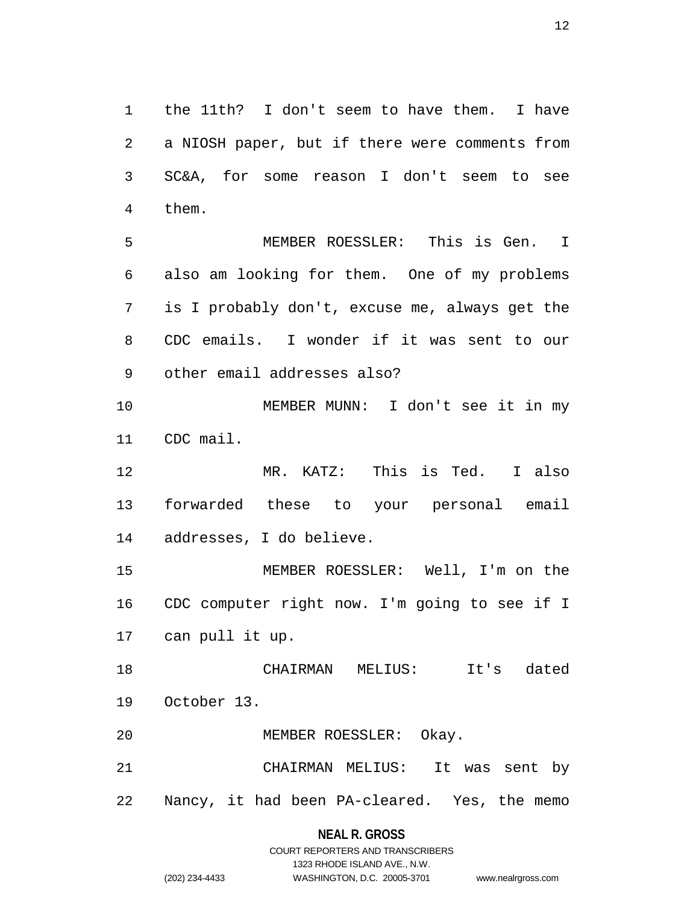1 the 11th? I don't seem to have them. I have 2 a NIOSH paper, but if there were comments from 3 SC&A, for some reason I don't seem to see 4 them.

5 MEMBER ROESSLER: This is Gen. I 6 also am looking for them. One of my problems 7 is I probably don't, excuse me, always get the 8 CDC emails. I wonder if it was sent to our 9 other email addresses also?

10 MEMBER MUNN: I don't see it in my 11 CDC mail.

12 MR. KATZ: This is Ted. I also 13 forwarded these to your personal email 14 addresses, I do believe.

15 MEMBER ROESSLER: Well, I'm on the 16 CDC computer right now. I'm going to see if I 17 can pull it up.

18 CHAIRMAN MELIUS: It's dated 19 October 13.

20 MEMBER ROESSLER: Okay.

21 CHAIRMAN MELIUS: It was sent by 22 Nancy, it had been PA-cleared. Yes, the memo

**NEAL R. GROSS**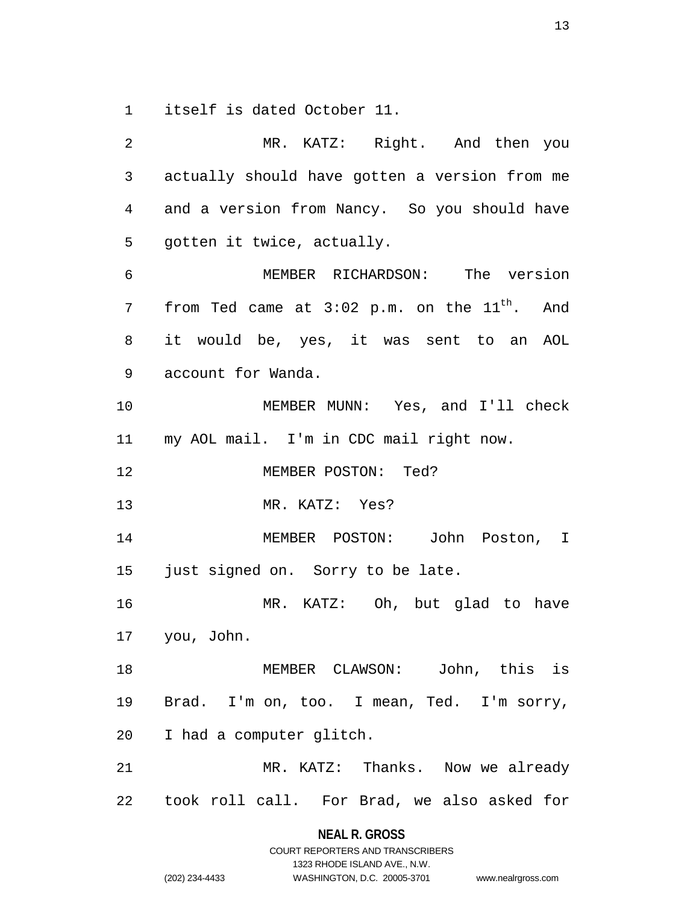1 itself is dated October 11.

| 2              | MR. KATZ: Right. And then you                       |
|----------------|-----------------------------------------------------|
| $\mathsf{3}$   | actually should have gotten a version from me       |
| $\overline{4}$ | and a version from Nancy. So you should have        |
| 5              | gotten it twice, actually.                          |
| 6              | MEMBER RICHARDSON: The version                      |
| 7              | from Ted came at $3:02$ p.m. on the $11^{th}$ . And |
| 8              | it would be, yes, it was sent to an AOL             |
| 9              | account for Wanda.                                  |
| 10             | MEMBER MUNN: Yes, and I'll check                    |
|                | 11 my AOL mail. I'm in CDC mail right now.          |
| 12             | MEMBER POSTON: Ted?                                 |
| 13             | MR. KATZ: Yes?                                      |
| 14             | MEMBER POSTON: John Poston, I                       |
| 15             | just signed on. Sorry to be late.                   |
| 16             | MR. KATZ: Oh, but glad to have                      |
|                | 17 you, John.                                       |
| 18             | MEMBER CLAWSON: John, this is                       |
| 19             | Brad. I'm on, too. I mean, Ted. I'm sorry,          |
| 20             | I had a computer glitch.                            |
| 21             | MR. KATZ: Thanks. Now we already                    |
|                | 22 took roll call. For Brad, we also asked for      |
|                | NEAL R. GROSS                                       |

COURT REPORTERS AND TRANSCRIBERS 1323 RHODE ISLAND AVE., N.W.

(202) 234-4433 WASHINGTON, D.C. 20005-3701 www.nealrgross.com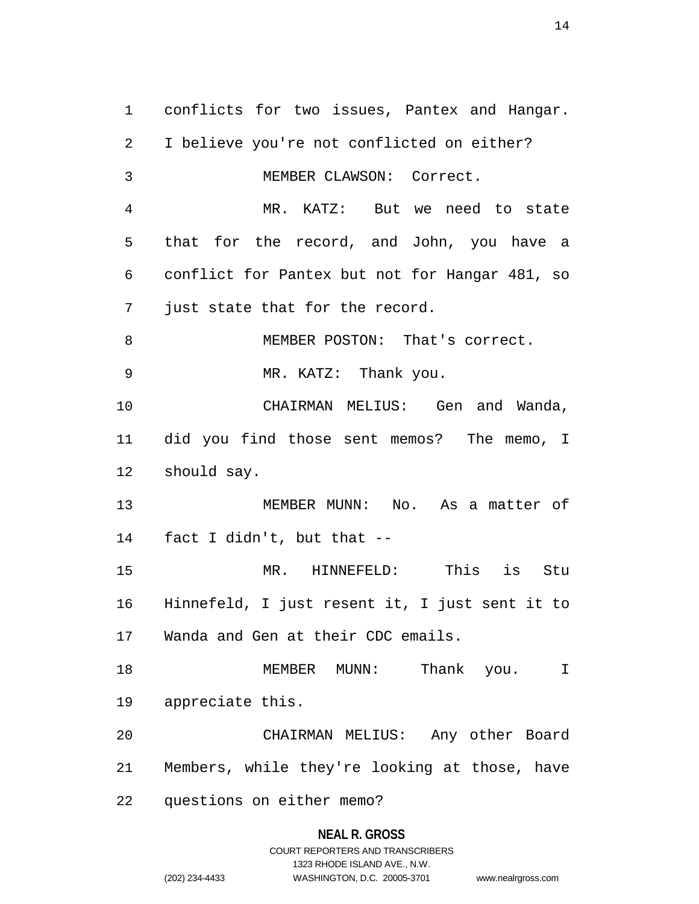1 conflicts for two issues, Pantex and Hangar. 2 I believe you're not conflicted on either? 3 MEMBER CLAWSON: Correct. 4 MR. KATZ: But we need to state 5 that for the record, and John, you have a 6 conflict for Pantex but not for Hangar 481, so 7 just state that for the record. 8 MEMBER POSTON: That's correct. 9 MR. KATZ: Thank you. 10 CHAIRMAN MELIUS: Gen and Wanda, 11 did you find those sent memos? The memo, I 12 should say. 13 MEMBER MUNN: No. As a matter of 14 fact I didn't, but that -- 15 MR. HINNEFELD: This is Stu 16 Hinnefeld, I just resent it, I just sent it to 17 Wanda and Gen at their CDC emails. 18 MEMBER MUNN: Thank you. I 19 appreciate this. 20 CHAIRMAN MELIUS: Any other Board 21 Members, while they're looking at those, have 22 questions on either memo?

#### **NEAL R. GROSS**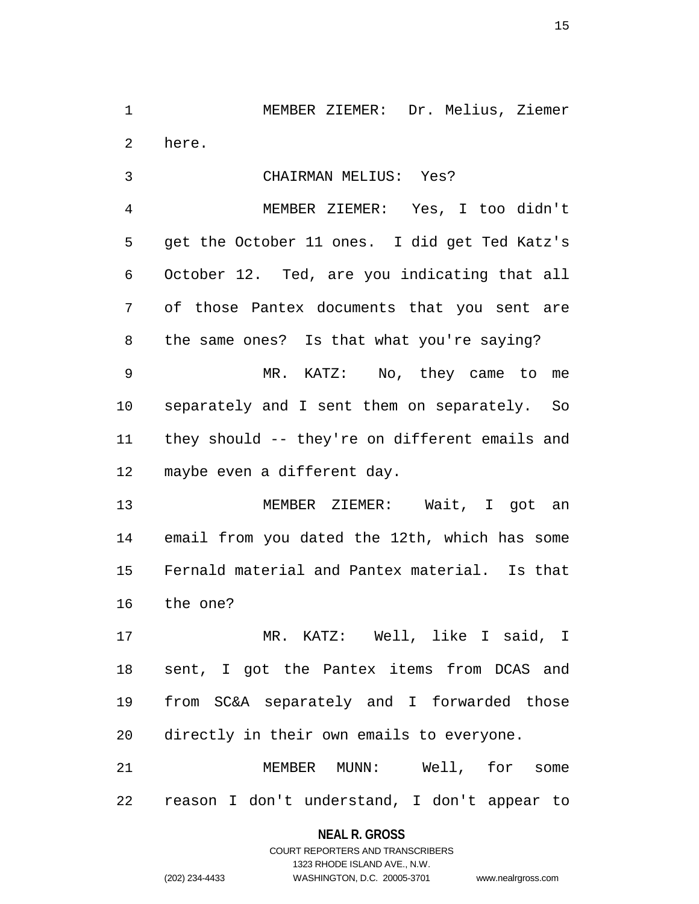1 MEMBER ZIEMER: Dr. Melius, Ziemer 2 here.

3 CHAIRMAN MELIUS: Yes?

4 MEMBER ZIEMER: Yes, I too didn't 5 get the October 11 ones. I did get Ted Katz's 6 October 12. Ted, are you indicating that all 7 of those Pantex documents that you sent are 8 the same ones? Is that what you're saying? 9 MR. KATZ: No, they came to me

10 separately and I sent them on separately. So 11 they should -- they're on different emails and 12 maybe even a different day.

13 MEMBER ZIEMER: Wait, I got an 14 email from you dated the 12th, which has some 15 Fernald material and Pantex material. Is that 16 the one?

17 MR. KATZ: Well, like I said, I 18 sent, I got the Pantex items from DCAS and 19 from SC&A separately and I forwarded those 20 directly in their own emails to everyone.

21 MEMBER MUNN: Well, for some 22 reason I don't understand, I don't appear to

## **NEAL R. GROSS** COURT REPORTERS AND TRANSCRIBERS

1323 RHODE ISLAND AVE., N.W. (202) 234-4433 WASHINGTON, D.C. 20005-3701 www.nealrgross.com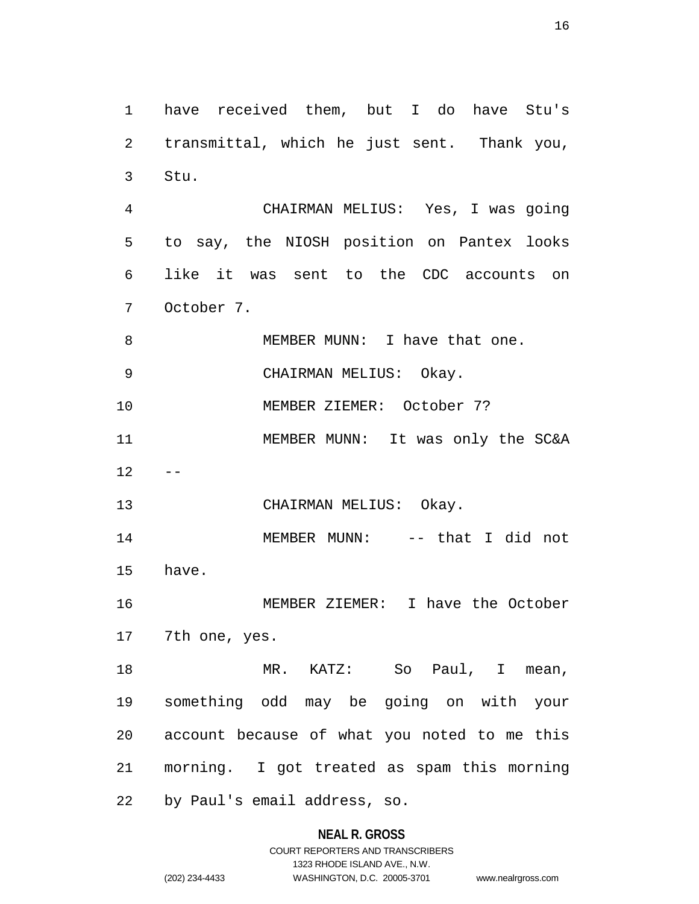1 have received them, but I do have Stu's 2 transmittal, which he just sent. Thank you, 3 Stu. 4 CHAIRMAN MELIUS: Yes, I was going 5 to say, the NIOSH position on Pantex looks 6 like it was sent to the CDC accounts on 7 October 7. 8 MEMBER MUNN: I have that one. 9 CHAIRMAN MELIUS: Okay. 10 MEMBER ZIEMER: October 7? 11 MEMBER MUNN: It was only the SC&A  $12 - -$ 13 CHAIRMAN MELIUS: Okay. 14 MEMBER MUNN: -- that I did not 15 have. 16 MEMBER ZIEMER: I have the October 17 7th one, yes. 18 MR. KATZ: So Paul, I mean, 19 something odd may be going on with your 20 account because of what you noted to me this 21 morning. I got treated as spam this morning 22 by Paul's email address, so.

## **NEAL R. GROSS**

COURT REPORTERS AND TRANSCRIBERS 1323 RHODE ISLAND AVE., N.W. (202) 234-4433 WASHINGTON, D.C. 20005-3701 www.nealrgross.com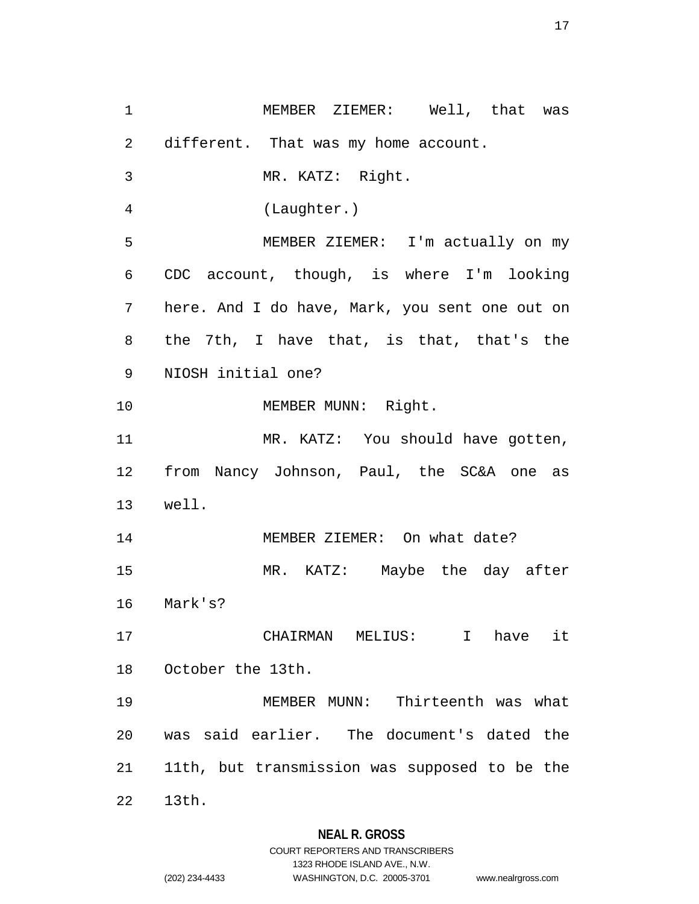1 MEMBER ZIEMER: Well, that was 2 different. That was my home account. 3 MR. KATZ: Right. 4 (Laughter.) 5 MEMBER ZIEMER: I'm actually on my 6 CDC account, though, is where I'm looking 7 here. And I do have, Mark, you sent one out on 8 the 7th, I have that, is that, that's the 9 NIOSH initial one? 10 MEMBER MUNN: Right. 11 MR. KATZ: You should have gotten, 12 from Nancy Johnson, Paul, the SC&A one as 13 well. 14 MEMBER ZIEMER: On what date? 15 MR. KATZ: Maybe the day after 16 Mark's? 17 CHAIRMAN MELIUS: I have it 18 October the 13th. 19 MEMBER MUNN: Thirteenth was what 20 was said earlier. The document's dated the 21 11th, but transmission was supposed to be the 22 13th.

## **NEAL R. GROSS**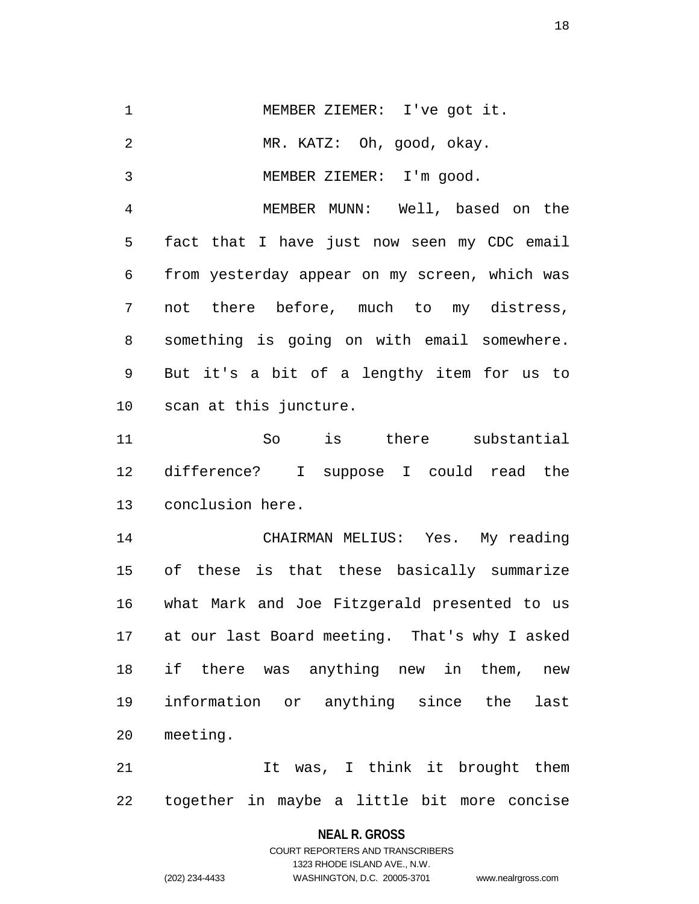1 MEMBER ZIEMER: I've got it. 2 MR. KATZ: Oh, good, okay. 3 MEMBER ZIEMER: I'm good. 4 MEMBER MUNN: Well, based on the 5 fact that I have just now seen my CDC email 6 from yesterday appear on my screen, which was 7 not there before, much to my distress, 8 something is going on with email somewhere. 9 But it's a bit of a lengthy item for us to 10 scan at this juncture. 11 So is there substantial 12 difference? I suppose I could read the 13 conclusion here. 14 CHAIRMAN MELIUS: Yes. My reading 15 of these is that these basically summarize 16 what Mark and Joe Fitzgerald presented to us 17 at our last Board meeting. That's why I asked 18 if there was anything new in them, new 19 information or anything since the last 20 meeting. 21 11 U Tt was, I think it brought them

22 together in maybe a little bit more concise

**NEAL R. GROSS**

COURT REPORTERS AND TRANSCRIBERS 1323 RHODE ISLAND AVE., N.W. (202) 234-4433 WASHINGTON, D.C. 20005-3701 www.nealrgross.com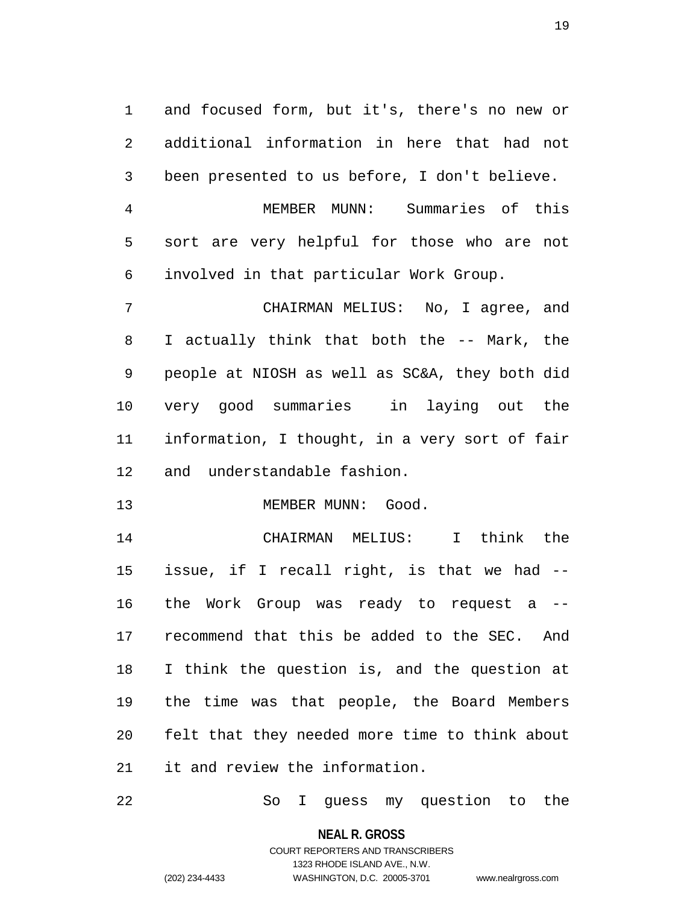1 and focused form, but it's, there's no new or 2 additional information in here that had not 3 been presented to us before, I don't believe.

4 MEMBER MUNN: Summaries of this 5 sort are very helpful for those who are not 6 involved in that particular Work Group.

7 CHAIRMAN MELIUS: No, I agree, and 8 I actually think that both the -- Mark, the 9 people at NIOSH as well as SC&A, they both did 10 very good summaries in laying out the 11 information, I thought, in a very sort of fair 12 and understandable fashion.

13 MEMBER MUNN: Good.

14 CHAIRMAN MELIUS: I think the 15 issue, if I recall right, is that we had -- 16 the Work Group was ready to request a -- 17 recommend that this be added to the SEC. And 18 I think the question is, and the question at 19 the time was that people, the Board Members 20 felt that they needed more time to think about 21 it and review the information.

22 So I guess my question to the

**NEAL R. GROSS** COURT REPORTERS AND TRANSCRIBERS

1323 RHODE ISLAND AVE., N.W.

(202) 234-4433 WASHINGTON, D.C. 20005-3701 www.nealrgross.com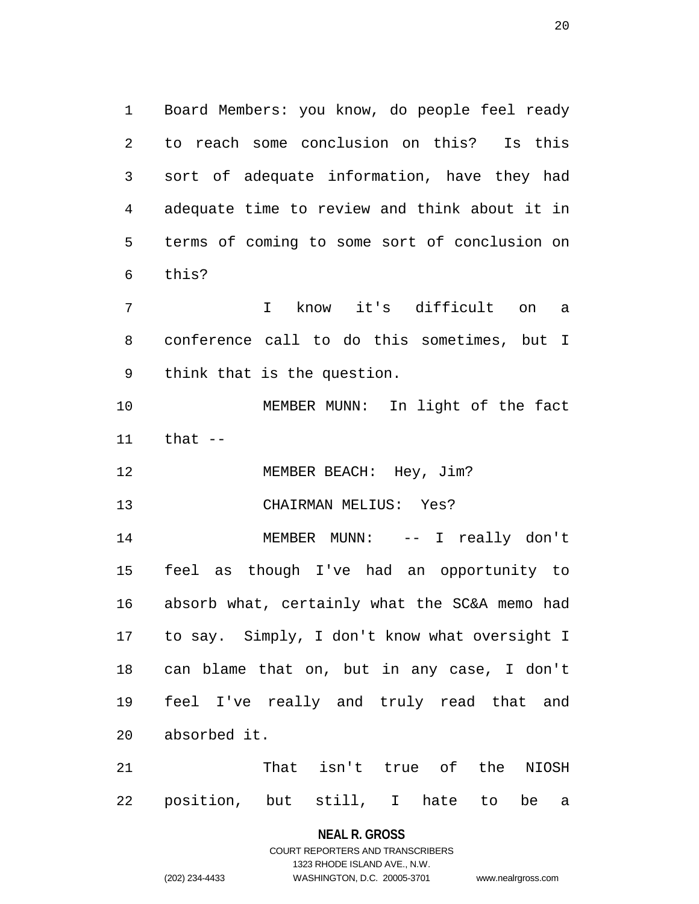1 Board Members: you know, do people feel ready 2 to reach some conclusion on this? Is this 3 sort of adequate information, have they had 4 adequate time to review and think about it in 5 terms of coming to some sort of conclusion on 6 this?

7 I know it's difficult on a 8 conference call to do this sometimes, but I 9 think that is the question.

10 MEMBER MUNN: In light of the fact 11 that --

12 MEMBER BEACH: Hey, Jim?

13 CHAIRMAN MELIUS: Yes?

14 MEMBER MUNN: -- I really don't 15 feel as though I've had an opportunity to 16 absorb what, certainly what the SC&A memo had 17 to say. Simply, I don't know what oversight I 18 can blame that on, but in any case, I don't 19 feel I've really and truly read that and 20 absorbed it.

21 That isn't true of the NIOSH 22 position, but still, I hate to be a

**NEAL R. GROSS**

COURT REPORTERS AND TRANSCRIBERS 1323 RHODE ISLAND AVE., N.W. (202) 234-4433 WASHINGTON, D.C. 20005-3701 www.nealrgross.com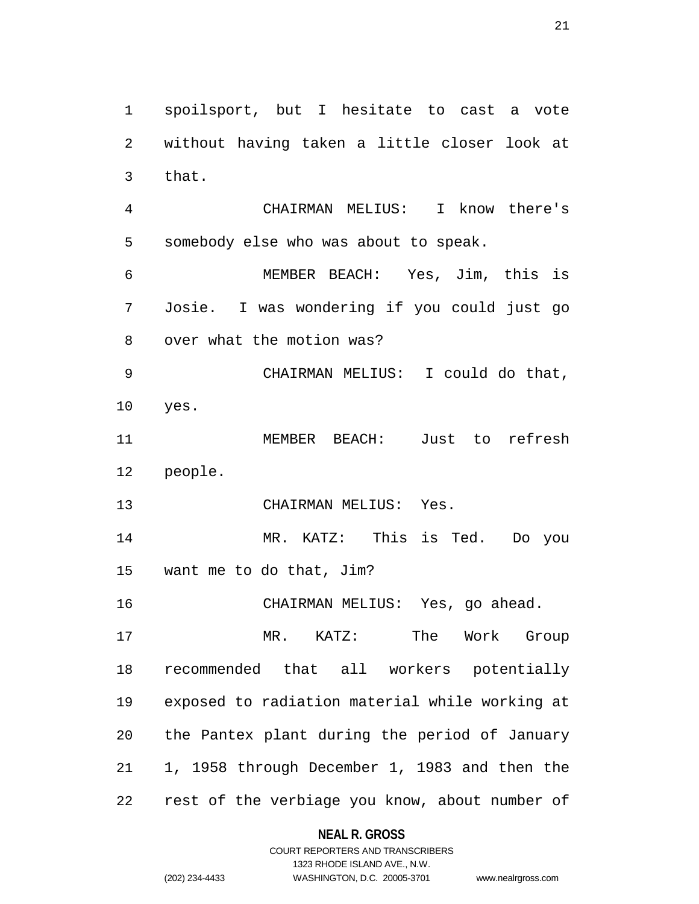1 spoilsport, but I hesitate to cast a vote 2 without having taken a little closer look at 3 that. 4 CHAIRMAN MELIUS: I know there's 5 somebody else who was about to speak. 6 MEMBER BEACH: Yes, Jim, this is 7 Josie. I was wondering if you could just go 8 over what the motion was? 9 CHAIRMAN MELIUS: I could do that, 10 yes. 11 MEMBER BEACH: Just to refresh 12 people. 13 CHAIRMAN MELIUS: Yes. 14 MR. KATZ: This is Ted. Do you 15 want me to do that, Jim? 16 CHAIRMAN MELIUS: Yes, go ahead. 17 MR. KATZ: The Work Group 18 recommended that all workers potentially 19 exposed to radiation material while working at 20 the Pantex plant during the period of January 21 1, 1958 through December 1, 1983 and then the 22 rest of the verbiage you know, about number of

**NEAL R. GROSS**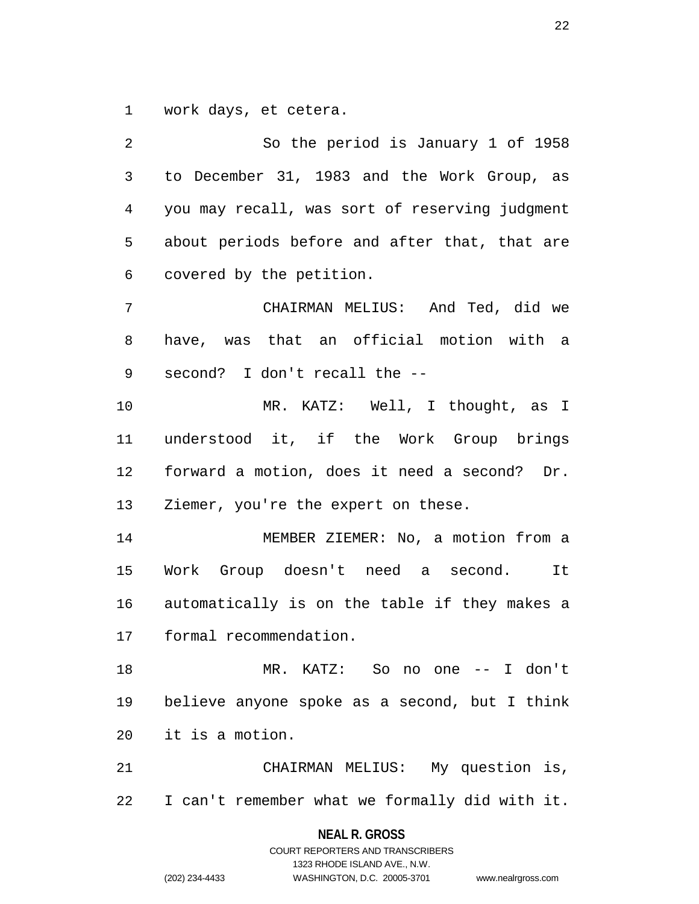1 work days, et cetera.

2 So the period is January 1 of 1958 3 to December 31, 1983 and the Work Group, as 4 you may recall, was sort of reserving judgment 5 about periods before and after that, that are 6 covered by the petition. 7 CHAIRMAN MELIUS: And Ted, did we 8 have, was that an official motion with a 9 second? I don't recall the -- 10 MR. KATZ: Well, I thought, as I 11 understood it, if the Work Group brings 12 forward a motion, does it need a second? Dr. 13 Ziemer, you're the expert on these. 14 MEMBER ZIEMER: No, a motion from a 15 Work Group doesn't need a second. It 16 automatically is on the table if they makes a 17 formal recommendation. 18 MR. KATZ: So no one -- I don't 19 believe anyone spoke as a second, but I think 20 it is a motion. 21 CHAIRMAN MELIUS: My question is, 22 I can't remember what we formally did with it.

> **NEAL R. GROSS** COURT REPORTERS AND TRANSCRIBERS

1323 RHODE ISLAND AVE., N.W. (202) 234-4433 WASHINGTON, D.C. 20005-3701 www.nealrgross.com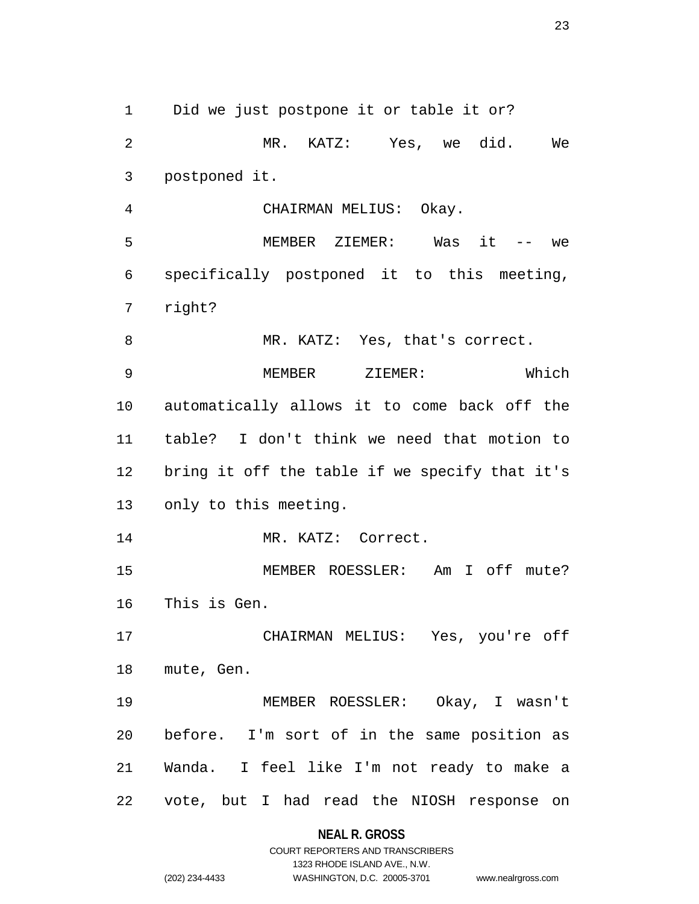1 Did we just postpone it or table it or? 2 MR. KATZ: Yes, we did. We 3 postponed it. 4 CHAIRMAN MELIUS: Okay. 5 MEMBER ZIEMER: Was it -- we 6 specifically postponed it to this meeting, 7 right? 8 MR. KATZ: Yes, that's correct. 9 MEMBER ZIEMER: Which 10 automatically allows it to come back off the 11 table? I don't think we need that motion to 12 bring it off the table if we specify that it's 13 only to this meeting. 14 MR. KATZ: Correct. 15 MEMBER ROESSLER: Am I off mute? 16 This is Gen. 17 CHAIRMAN MELIUS: Yes, you're off 18 mute, Gen. 19 MEMBER ROESSLER: Okay, I wasn't 20 before. I'm sort of in the same position as 21 Wanda. I feel like I'm not ready to make a 22 vote, but I had read the NIOSH response on

## **NEAL R. GROSS**

COURT REPORTERS AND TRANSCRIBERS 1323 RHODE ISLAND AVE., N.W. (202) 234-4433 WASHINGTON, D.C. 20005-3701 www.nealrgross.com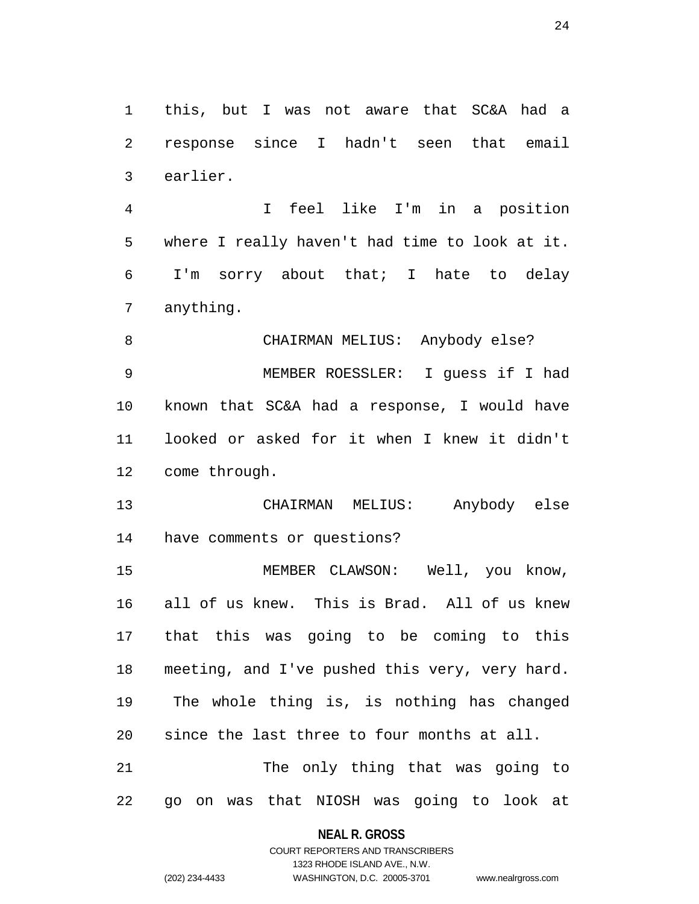1 this, but I was not aware that SC&A had a 2 response since I hadn't seen that email 3 earlier.

4 I feel like I'm in a position 5 where I really haven't had time to look at it. 6 I'm sorry about that; I hate to delay 7 anything.

8 CHAIRMAN MELIUS: Anybody else? 9 MEMBER ROESSLER: I guess if I had 10 known that SC&A had a response, I would have 11 looked or asked for it when I knew it didn't 12 come through.

13 CHAIRMAN MELIUS: Anybody else 14 have comments or questions?

15 MEMBER CLAWSON: Well, you know, 16 all of us knew. This is Brad. All of us knew 17 that this was going to be coming to this 18 meeting, and I've pushed this very, very hard. 19 The whole thing is, is nothing has changed 20 since the last three to four months at all. 21 The only thing that was going to 22 go on was that NIOSH was going to look at

#### **NEAL R. GROSS**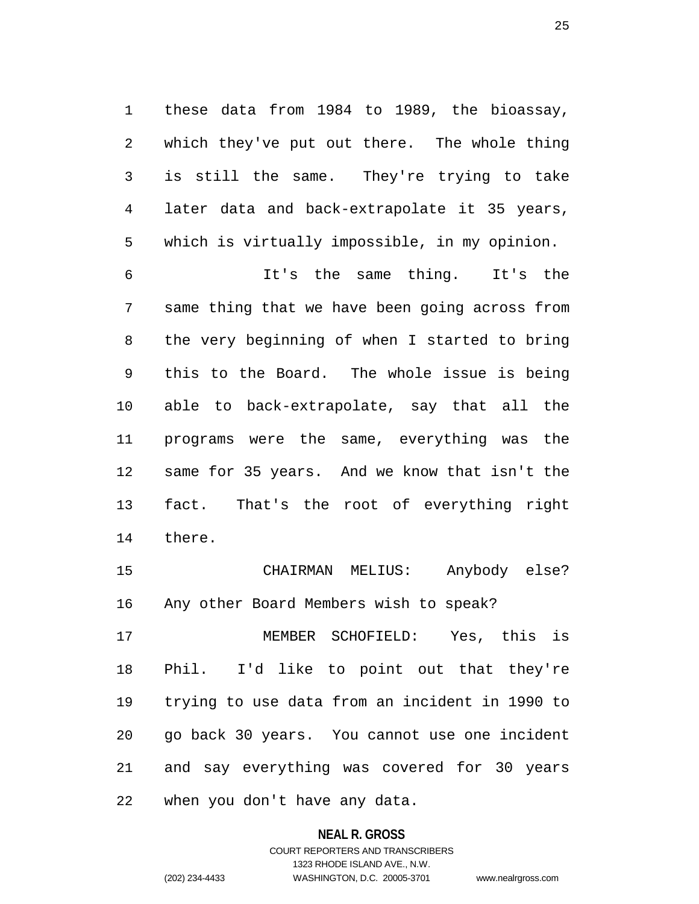1 these data from 1984 to 1989, the bioassay, 2 which they've put out there. The whole thing 3 is still the same. They're trying to take 4 later data and back-extrapolate it 35 years, 5 which is virtually impossible, in my opinion.

6 It's the same thing. It's the 7 same thing that we have been going across from 8 the very beginning of when I started to bring 9 this to the Board. The whole issue is being 10 able to back-extrapolate, say that all the 11 programs were the same, everything was the 12 same for 35 years. And we know that isn't the 13 fact. That's the root of everything right 14 there.

15 CHAIRMAN MELIUS: Anybody else? 16 Any other Board Members wish to speak?

17 MEMBER SCHOFIELD: Yes, this is 18 Phil. I'd like to point out that they're 19 trying to use data from an incident in 1990 to 20 go back 30 years. You cannot use one incident 21 and say everything was covered for 30 years 22 when you don't have any data.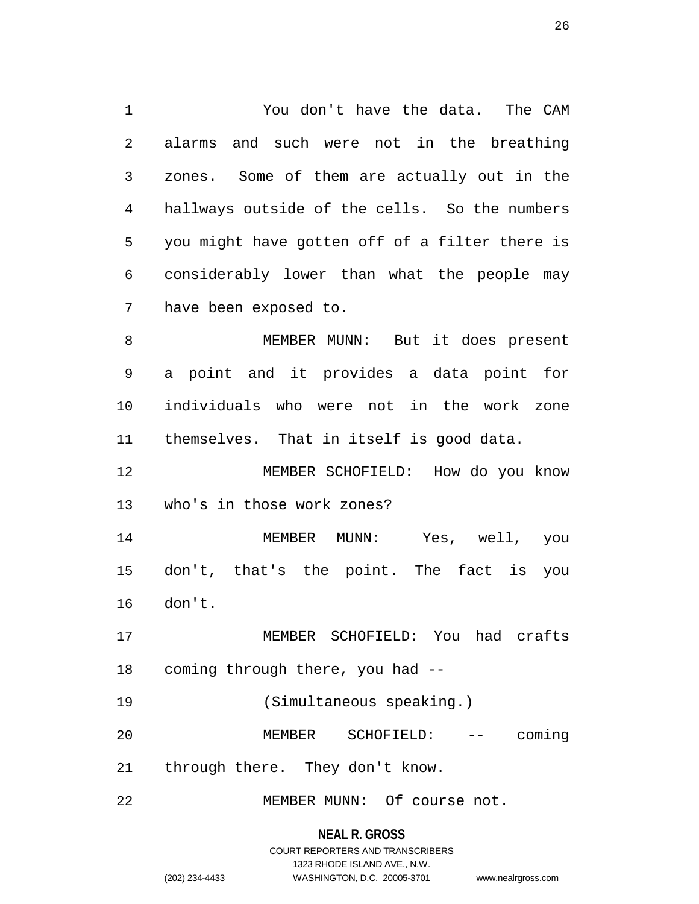1 You don't have the data. The CAM 2 alarms and such were not in the breathing 3 zones. Some of them are actually out in the 4 hallways outside of the cells. So the numbers 5 you might have gotten off of a filter there is 6 considerably lower than what the people may 7 have been exposed to. 8 MEMBER MUNN: But it does present

9 a point and it provides a data point for 10 individuals who were not in the work zone 11 themselves. That in itself is good data.

12 MEMBER SCHOFIELD: How do you know 13 who's in those work zones?

14 MEMBER MUNN: Yes, well, you 15 don't, that's the point. The fact is you 16 don't.

17 MEMBER SCHOFIELD: You had crafts 18 coming through there, you had --

19 (Simultaneous speaking.)

20 MEMBER SCHOFIELD: -- coming 21 through there. They don't know.

22 MEMBER MUNN: Of course not.

#### **NEAL R. GROSS**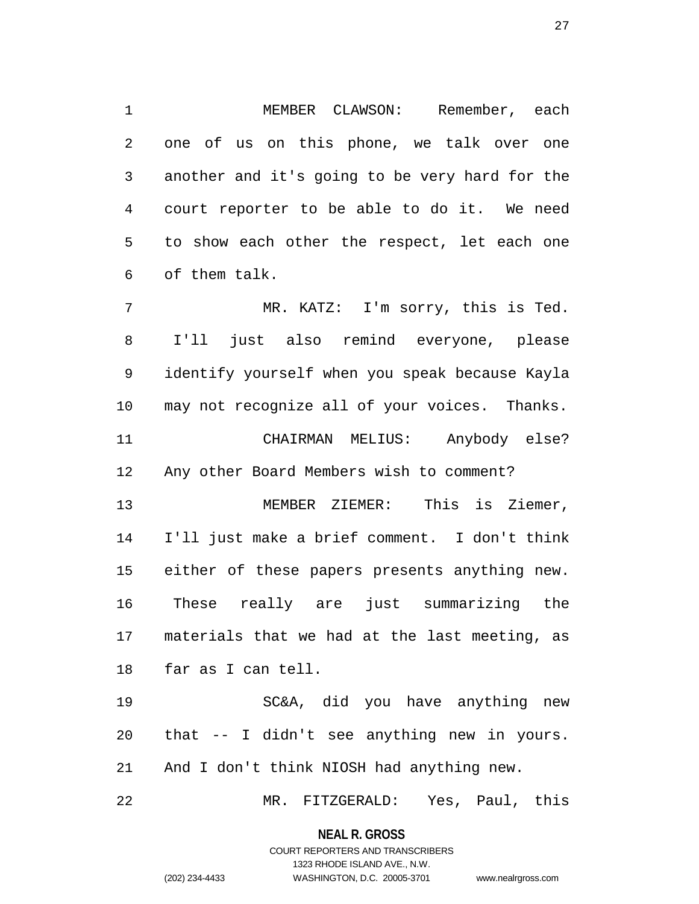1 MEMBER CLAWSON: Remember, each 2 one of us on this phone, we talk over one 3 another and it's going to be very hard for the 4 court reporter to be able to do it. We need 5 to show each other the respect, let each one 6 of them talk.

7 MR. KATZ: I'm sorry, this is Ted. 8 I'll just also remind everyone, please 9 identify yourself when you speak because Kayla 10 may not recognize all of your voices. Thanks. 11 CHAIRMAN MELIUS: Anybody else? 12 Any other Board Members wish to comment? 13 MEMBER ZIEMER: This is Ziemer, 14 I'll just make a brief comment. I don't think 15 either of these papers presents anything new. 16 These really are just summarizing the 17 materials that we had at the last meeting, as 18 far as I can tell.

19 SC&A, did you have anything new 20 that -- I didn't see anything new in yours. 21 And I don't think NIOSH had anything new.

22 MR. FITZGERALD: Yes, Paul, this

**NEAL R. GROSS**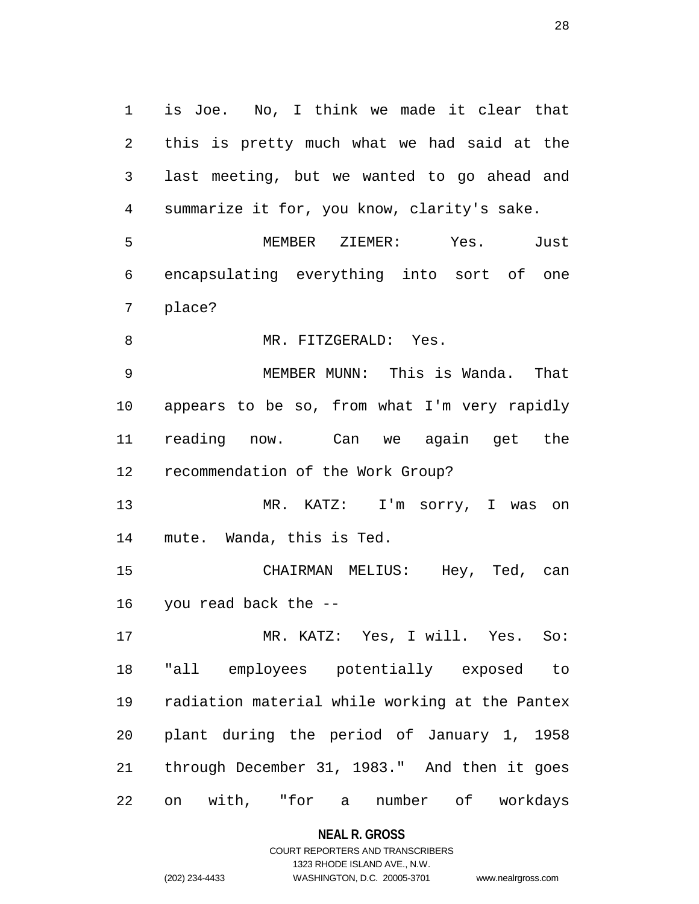1 is Joe. No, I think we made it clear that 2 this is pretty much what we had said at the 3 last meeting, but we wanted to go ahead and 4 summarize it for, you know, clarity's sake. 5 MEMBER ZIEMER: Yes. Just 6 encapsulating everything into sort of one 7 place? 8 MR. FITZGERALD: Yes. 9 MEMBER MUNN: This is Wanda. That 10 appears to be so, from what I'm very rapidly 11 reading now. Can we again get the 12 recommendation of the Work Group? 13 MR. KATZ: I'm sorry, I was on 14 mute. Wanda, this is Ted. 15 CHAIRMAN MELIUS: Hey, Ted, can 16 you read back the -- 17 MR. KATZ: Yes, I will. Yes. So: 18 "all employees potentially exposed to 19 radiation material while working at the Pantex 20 plant during the period of January 1, 1958 21 through December 31, 1983." And then it goes 22 on with, "for a number of workdays

**NEAL R. GROSS**

COURT REPORTERS AND TRANSCRIBERS 1323 RHODE ISLAND AVE., N.W. (202) 234-4433 WASHINGTON, D.C. 20005-3701 www.nealrgross.com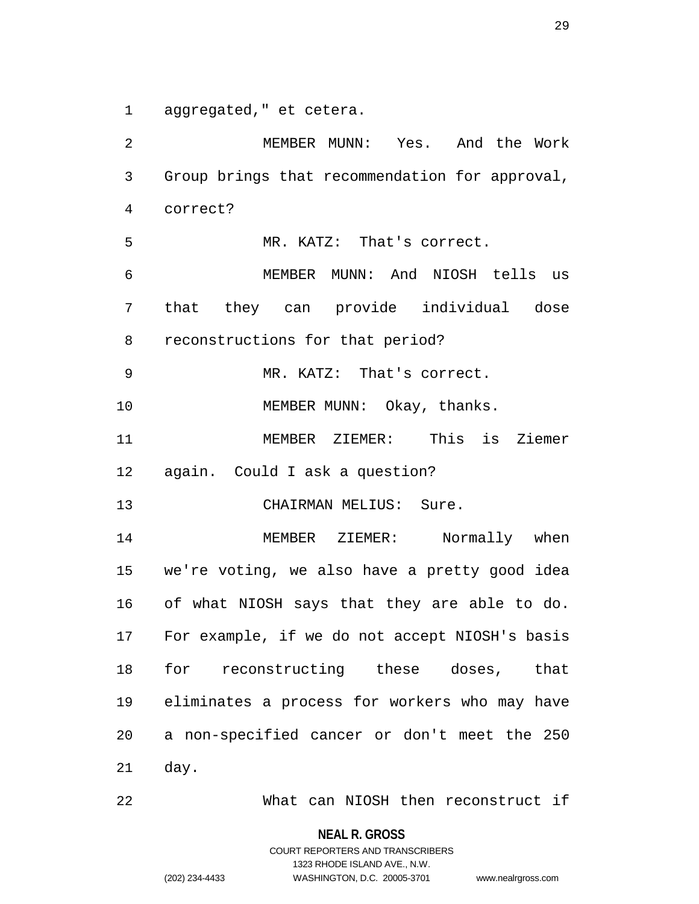1 aggregated," et cetera.

2 MEMBER MUNN: Yes. And the Work 3 Group brings that recommendation for approval, 4 correct? 5 MR. KATZ: That's correct. 6 MEMBER MUNN: And NIOSH tells us 7 that they can provide individual dose 8 reconstructions for that period? 9 MR. KATZ: That's correct. 10 MEMBER MUNN: Okay, thanks. 11 MEMBER ZIEMER: This is Ziemer 12 again. Could I ask a question? 13 CHAIRMAN MELIUS: Sure. 14 MEMBER ZIEMER: Normally when 15 we're voting, we also have a pretty good idea 16 of what NIOSH says that they are able to do. 17 For example, if we do not accept NIOSH's basis 18 for reconstructing these doses, that 19 eliminates a process for workers who may have 20 a non-specified cancer or don't meet the 250 21 day.

22 What can NIOSH then reconstruct if

**NEAL R. GROSS**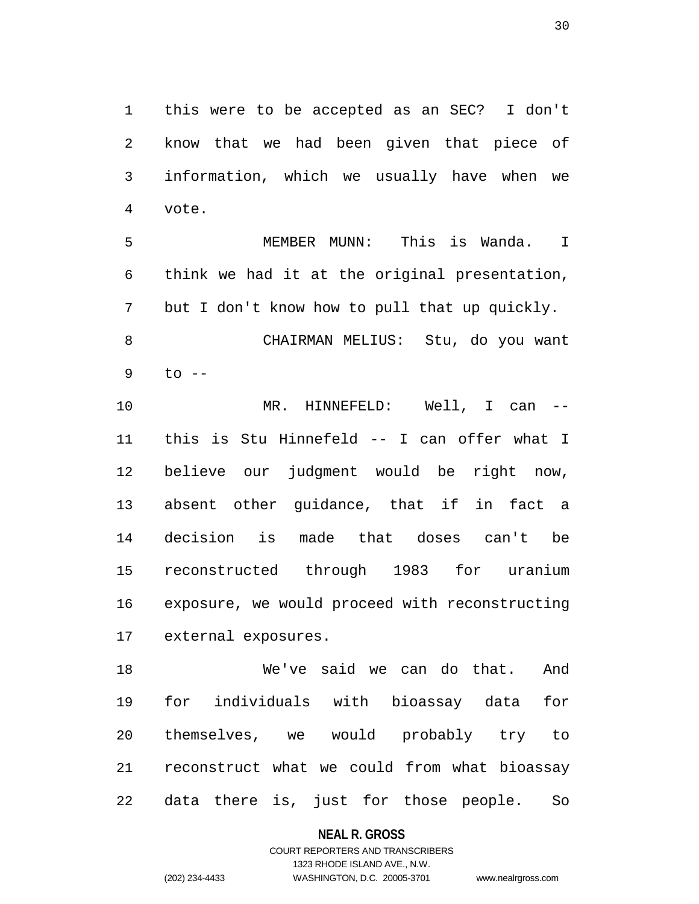1 this were to be accepted as an SEC? I don't 2 know that we had been given that piece of 3 information, which we usually have when we 4 vote.

5 MEMBER MUNN: This is Wanda. I 6 think we had it at the original presentation, 7 but I don't know how to pull that up quickly. 8 CHAIRMAN MELIUS: Stu, do you want 9 to --

10 MR. HINNEFELD: Well, I can -- 11 this is Stu Hinnefeld -- I can offer what I 12 believe our judgment would be right now, 13 absent other guidance, that if in fact a 14 decision is made that doses can't be 15 reconstructed through 1983 for uranium 16 exposure, we would proceed with reconstructing 17 external exposures.

18 We've said we can do that. And 19 for individuals with bioassay data for 20 themselves, we would probably try to 21 reconstruct what we could from what bioassay 22 data there is, just for those people. So

#### **NEAL R. GROSS**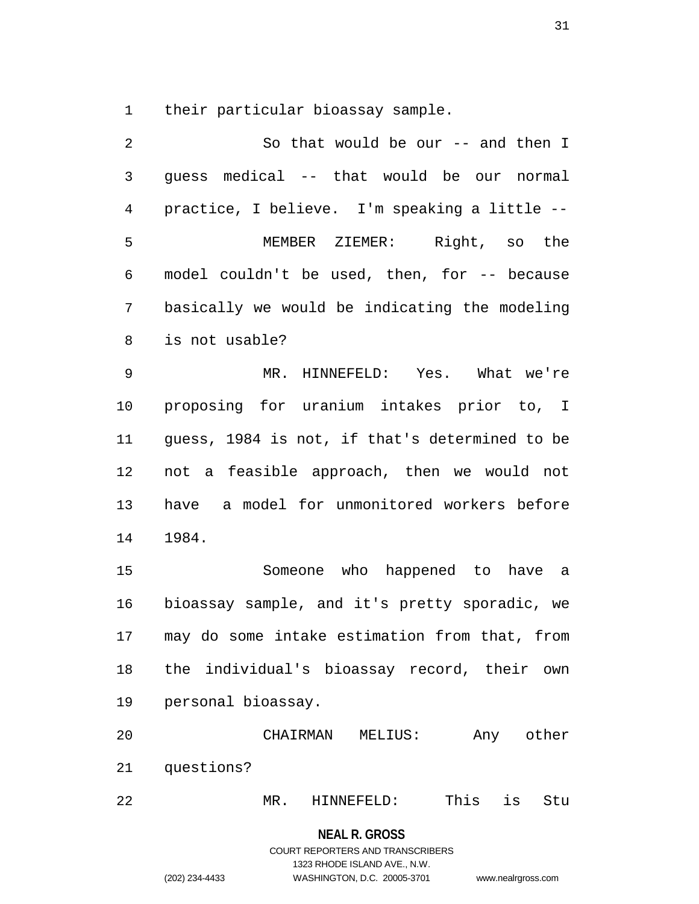1 their particular bioassay sample.

2 So that would be our -- and then I 3 guess medical -- that would be our normal 4 practice, I believe. I'm speaking a little -- 5 MEMBER ZIEMER: Right, so the 6 model couldn't be used, then, for -- because 7 basically we would be indicating the modeling 8 is not usable? 9 MR. HINNEFELD: Yes. What we're 10 proposing for uranium intakes prior to, I 11 guess, 1984 is not, if that's determined to be 12 not a feasible approach, then we would not 13 have a model for unmonitored workers before 14 1984.

15 Someone who happened to have a 16 bioassay sample, and it's pretty sporadic, we 17 may do some intake estimation from that, from 18 the individual's bioassay record, their own 19 personal bioassay.

20 CHAIRMAN MELIUS: Any other 21 questions?

22 MR. HINNEFELD: This is Stu

#### **NEAL R. GROSS**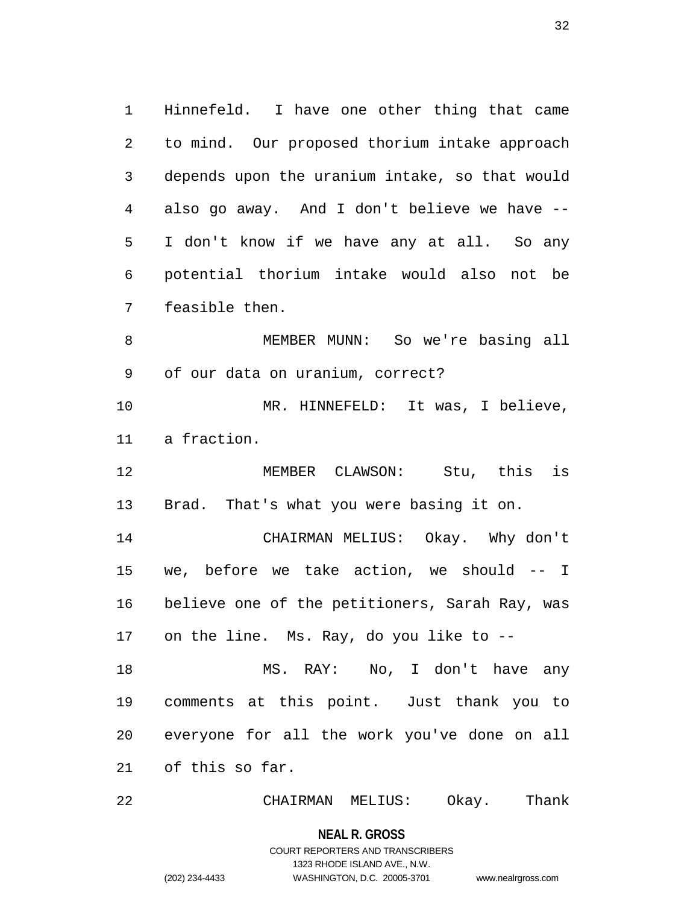1 Hinnefeld. I have one other thing that came 2 to mind. Our proposed thorium intake approach 3 depends upon the uranium intake, so that would 4 also go away. And I don't believe we have -- 5 I don't know if we have any at all. So any 6 potential thorium intake would also not be 7 feasible then.

8 MEMBER MUNN: So we're basing all 9 of our data on uranium, correct?

10 MR. HINNEFELD: It was, I believe, 11 a fraction.

12 MEMBER CLAWSON: Stu, this is 13 Brad. That's what you were basing it on.

14 CHAIRMAN MELIUS: Okay. Why don't 15 we, before we take action, we should -- I 16 believe one of the petitioners, Sarah Ray, was 17 on the line. Ms. Ray, do you like to --

18 MS. RAY: No, I don't have any 19 comments at this point. Just thank you to 20 everyone for all the work you've done on all 21 of this so far.

22 CHAIRMAN MELIUS: Okay. Thank

**NEAL R. GROSS**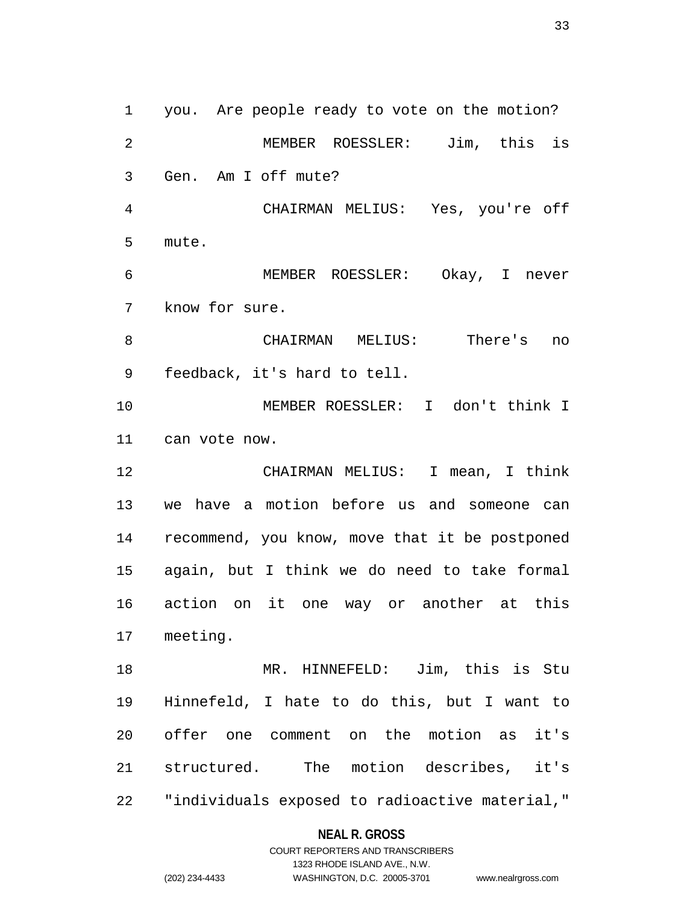1 you. Are people ready to vote on the motion? 2 MEMBER ROESSLER: Jim, this is 3 Gen. Am I off mute? 4 CHAIRMAN MELIUS: Yes, you're off 5 mute. 6 MEMBER ROESSLER: Okay, I never 7 know for sure. 8 CHAIRMAN MELIUS: There's no 9 feedback, it's hard to tell. 10 MEMBER ROESSLER: I don't think I 11 can vote now. 12 CHAIRMAN MELIUS: I mean, I think 13 we have a motion before us and someone can 14 recommend, you know, move that it be postponed 15 again, but I think we do need to take formal 16 action on it one way or another at this 17 meeting. 18 MR. HINNEFELD: Jim, this is Stu 19 Hinnefeld, I hate to do this, but I want to 20 offer one comment on the motion as it's 21 structured. The motion describes, it's 22 "individuals exposed to radioactive material,"

#### **NEAL R. GROSS**

COURT REPORTERS AND TRANSCRIBERS 1323 RHODE ISLAND AVE., N.W. (202) 234-4433 WASHINGTON, D.C. 20005-3701 www.nealrgross.com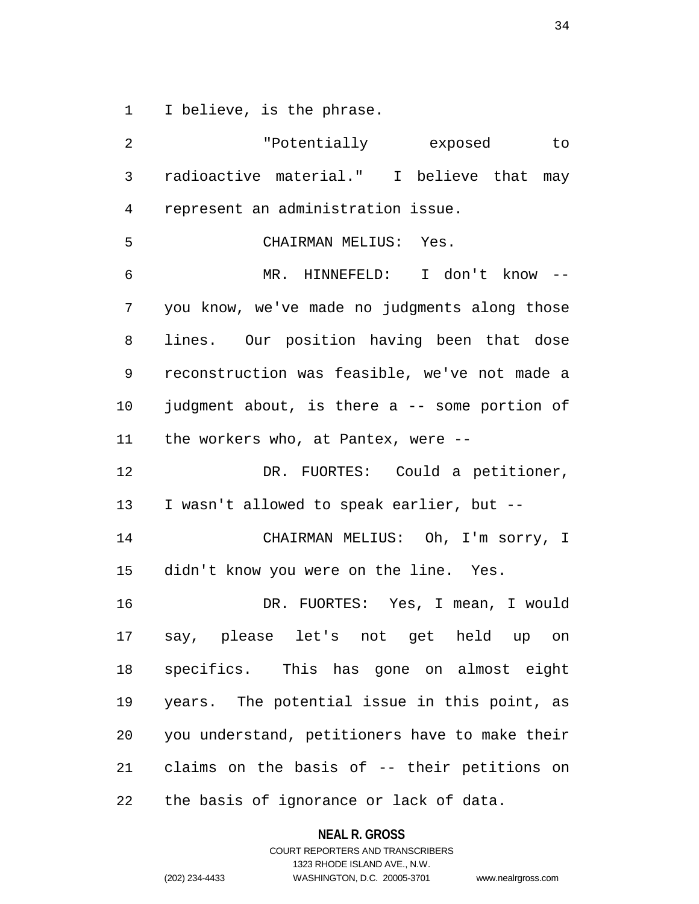1 I believe, is the phrase.

| 2              | "Potentially exposed"<br>to                    |
|----------------|------------------------------------------------|
| $\mathsf{3}$   | radioactive material." I believe that may      |
| $\overline{4}$ | represent an administration issue.             |
| 5              | CHAIRMAN MELIUS: Yes.                          |
| 6              | MR. HINNEFELD: I don't know --                 |
| 7              | you know, we've made no judgments along those  |
| 8              | lines. Our position having been that dose      |
| 9              | reconstruction was feasible, we've not made a  |
| 10             | judgment about, is there a -- some portion of  |
| 11             | the workers who, at Pantex, were --            |
| 12             | DR. FUORTES: Could a petitioner,               |
| 13             | I wasn't allowed to speak earlier, but --      |
| 14             | CHAIRMAN MELIUS: Oh, I'm sorry, I              |
| 15             | didn't know you were on the line. Yes.         |
| 16             | DR. FUORTES: Yes, I mean, I would              |
| 17             | say, please let's not get held up on           |
| 18             | specifics. This has gone on almost eight       |
| 19             | years. The potential issue in this point, as   |
| 20             | you understand, petitioners have to make their |
| 21             | claims on the basis of -- their petitions on   |
| 22             | the basis of ignorance or lack of data.        |

## **NEAL R. GROSS**

COURT REPORTERS AND TRANSCRIBERS 1323 RHODE ISLAND AVE., N.W. (202) 234-4433 WASHINGTON, D.C. 20005-3701 www.nealrgross.com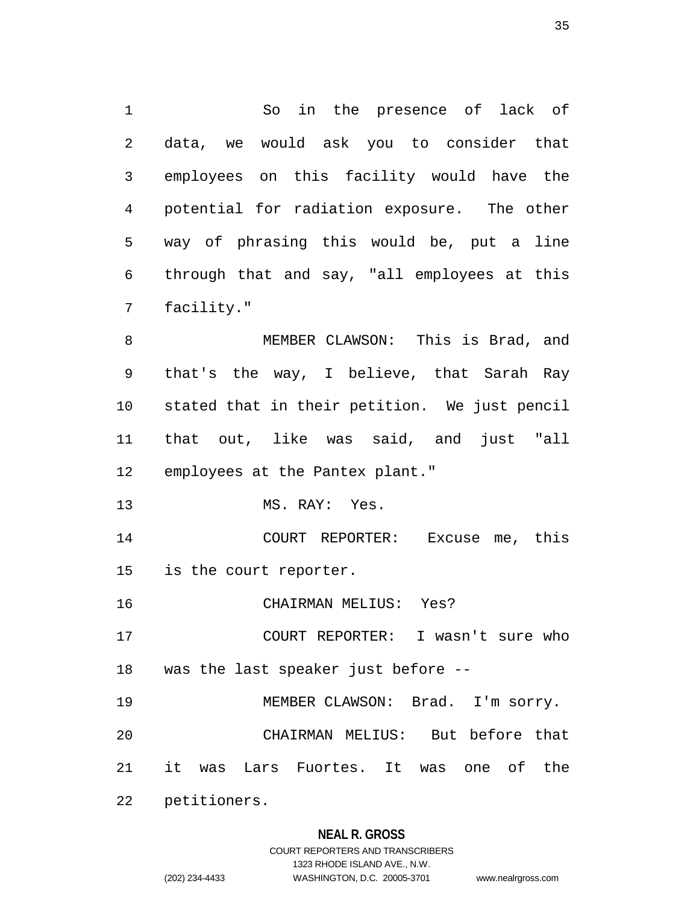1 So in the presence of lack of 2 data, we would ask you to consider that 3 employees on this facility would have the 4 potential for radiation exposure. The other 5 way of phrasing this would be, put a line 6 through that and say, "all employees at this 7 facility." 8 MEMBER CLAWSON: This is Brad, and

9 that's the way, I believe, that Sarah Ray 10 stated that in their petition. We just pencil 11 that out, like was said, and just "all 12 employees at the Pantex plant."

13 MS. RAY: Yes.

14 COURT REPORTER: Excuse me, this 15 is the court reporter.

16 CHAIRMAN MELIUS: Yes?

17 COURT REPORTER: I wasn't sure who 18 was the last speaker just before --

19 MEMBER CLAWSON: Brad. I'm sorry.

20 CHAIRMAN MELIUS: But before that

21 it was Lars Fuortes. It was one of the

22 petitioners.

#### **NEAL R. GROSS**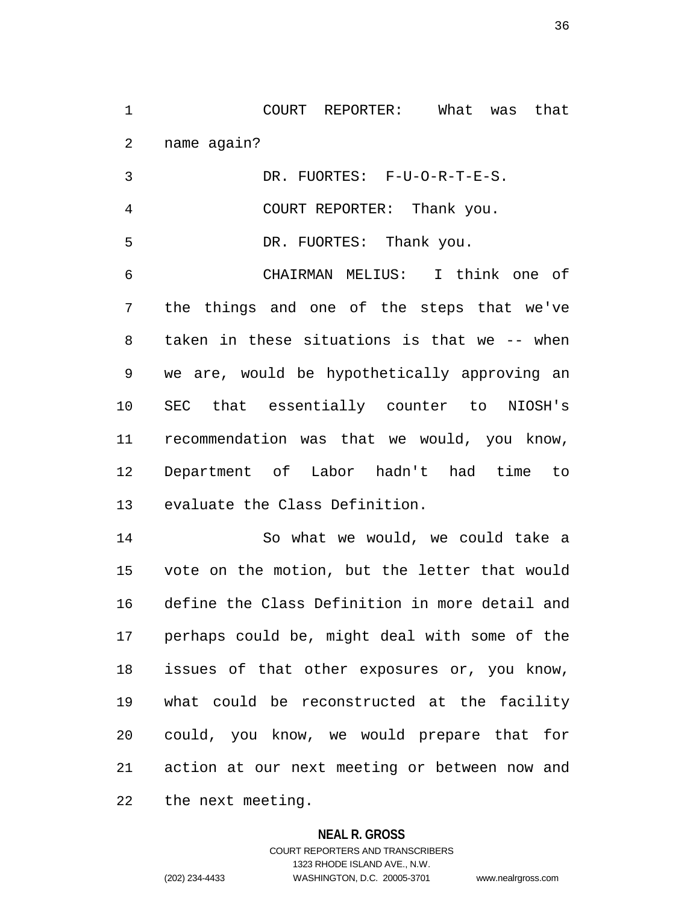1 COURT REPORTER: What was that 2 name again?

3 DR. FUORTES: F-U-O-R-T-E-S. 4 COURT REPORTER: Thank you. 5 DR. FUORTES: Thank you. 6 CHAIRMAN MELIUS: I think one of 7 the things and one of the steps that we've 8 taken in these situations is that we -- when 9 we are, would be hypothetically approving an 10 SEC that essentially counter to NIOSH's 11 recommendation was that we would, you know, 12 Department of Labor hadn't had time to 13 evaluate the Class Definition. 14 So what we would, we could take a

15 vote on the motion, but the letter that would 16 define the Class Definition in more detail and 17 perhaps could be, might deal with some of the 18 issues of that other exposures or, you know, 19 what could be reconstructed at the facility 20 could, you know, we would prepare that for 21 action at our next meeting or between now and 22 the next meeting.

#### **NEAL R. GROSS**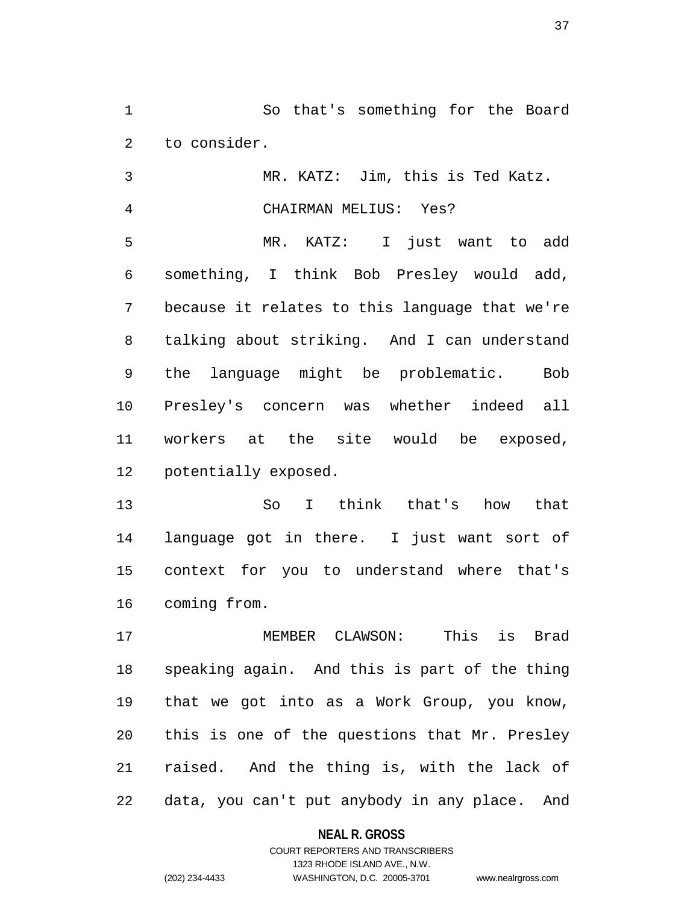1 So that's something for the Board 2 to consider.

3 MR. KATZ: Jim, this is Ted Katz.

4 CHAIRMAN MELIUS: Yes? 5 MR. KATZ: I just want to add 6 something, I think Bob Presley would add, 7 because it relates to this language that we're 8 talking about striking. And I can understand 9 the language might be problematic. Bob 10 Presley's concern was whether indeed all 11 workers at the site would be exposed, 12 potentially exposed.

13 So I think that's how that 14 language got in there. I just want sort of 15 context for you to understand where that's 16 coming from.

17 MEMBER CLAWSON: This is Brad 18 speaking again. And this is part of the thing 19 that we got into as a Work Group, you know, 20 this is one of the questions that Mr. Presley 21 raised. And the thing is, with the lack of 22 data, you can't put anybody in any place. And

#### **NEAL R. GROSS**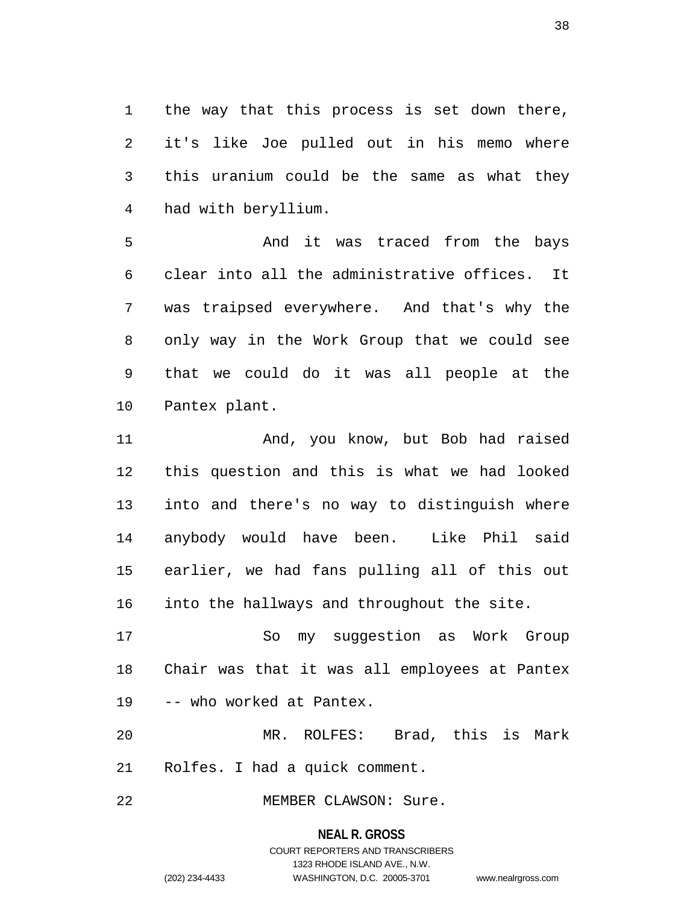1 the way that this process is set down there, 2 it's like Joe pulled out in his memo where 3 this uranium could be the same as what they 4 had with beryllium.

5 And it was traced from the bays 6 clear into all the administrative offices. It 7 was traipsed everywhere. And that's why the 8 only way in the Work Group that we could see 9 that we could do it was all people at the 10 Pantex plant.

11 And, you know, but Bob had raised 12 this question and this is what we had looked 13 into and there's no way to distinguish where 14 anybody would have been. Like Phil said 15 earlier, we had fans pulling all of this out 16 into the hallways and throughout the site.

17 So my suggestion as Work Group 18 Chair was that it was all employees at Pantex 19 -- who worked at Pantex.

20 MR. ROLFES: Brad, this is Mark 21 Rolfes. I had a quick comment.

22 MEMBER CLAWSON: Sure.

#### **NEAL R. GROSS**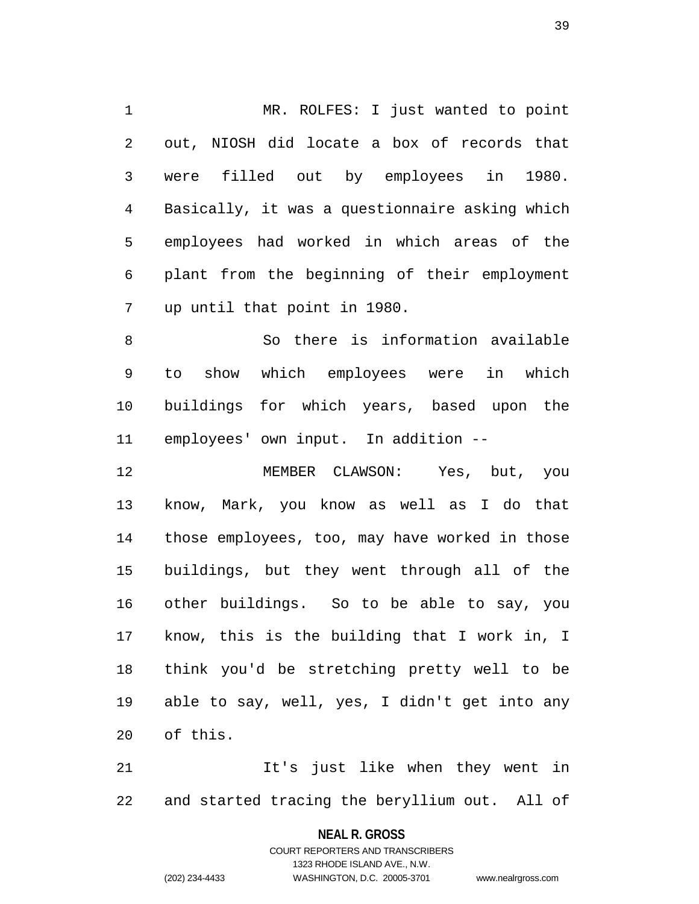1 MR. ROLFES: I just wanted to point 2 out, NIOSH did locate a box of records that 3 were filled out by employees in 1980. 4 Basically, it was a questionnaire asking which 5 employees had worked in which areas of the 6 plant from the beginning of their employment 7 up until that point in 1980.

8 So there is information available 9 to show which employees were in which 10 buildings for which years, based upon the 11 employees' own input. In addition --

12 MEMBER CLAWSON: Yes, but, you 13 know, Mark, you know as well as I do that 14 those employees, too, may have worked in those 15 buildings, but they went through all of the 16 other buildings. So to be able to say, you 17 know, this is the building that I work in, I 18 think you'd be stretching pretty well to be 19 able to say, well, yes, I didn't get into any 20 of this.

21 The state in they went in 22 and started tracing the beryllium out. All of

> **NEAL R. GROSS** COURT REPORTERS AND TRANSCRIBERS

> > 1323 RHODE ISLAND AVE., N.W.

(202) 234-4433 WASHINGTON, D.C. 20005-3701 www.nealrgross.com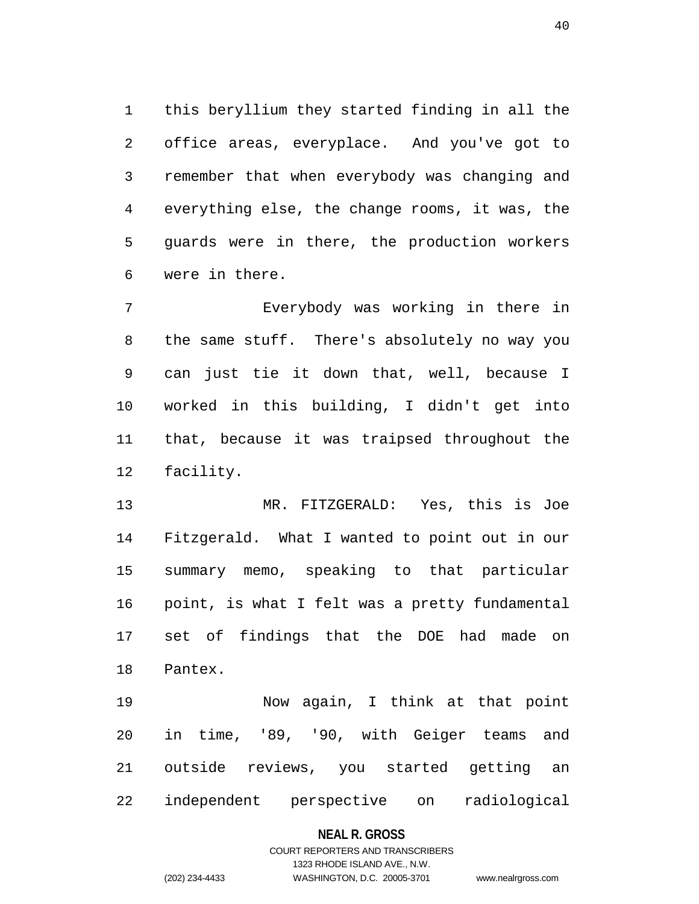1 this beryllium they started finding in all the 2 office areas, everyplace. And you've got to 3 remember that when everybody was changing and 4 everything else, the change rooms, it was, the 5 guards were in there, the production workers 6 were in there.

7 Everybody was working in there in 8 the same stuff. There's absolutely no way you 9 can just tie it down that, well, because I 10 worked in this building, I didn't get into 11 that, because it was traipsed throughout the 12 facility.

13 MR. FITZGERALD: Yes, this is Joe 14 Fitzgerald. What I wanted to point out in our 15 summary memo, speaking to that particular 16 point, is what I felt was a pretty fundamental 17 set of findings that the DOE had made on 18 Pantex.

19 Now again, I think at that point 20 in time, '89, '90, with Geiger teams and 21 outside reviews, you started getting an 22 independent perspective on radiological

#### **NEAL R. GROSS**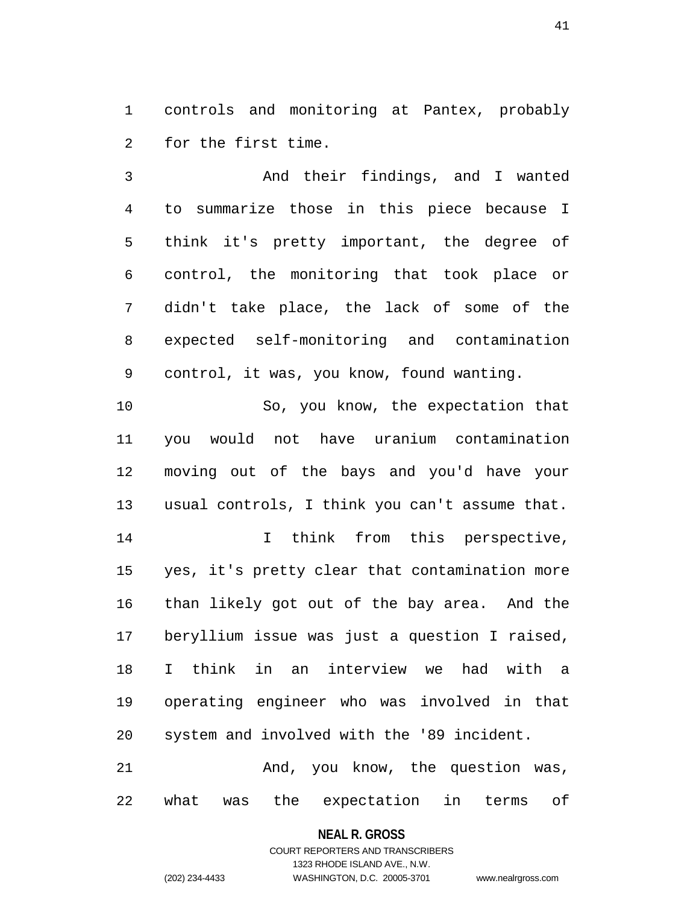1 controls and monitoring at Pantex, probably 2 for the first time.

3 And their findings, and I wanted 4 to summarize those in this piece because I 5 think it's pretty important, the degree of 6 control, the monitoring that took place or 7 didn't take place, the lack of some of the 8 expected self-monitoring and contamination 9 control, it was, you know, found wanting.

10 So, you know, the expectation that 11 you would not have uranium contamination 12 moving out of the bays and you'd have your 13 usual controls, I think you can't assume that.

14 14 I think from this perspective, 15 yes, it's pretty clear that contamination more 16 than likely got out of the bay area. And the 17 beryllium issue was just a question I raised, 18 I think in an interview we had with a 19 operating engineer who was involved in that 20 system and involved with the '89 incident.

21 And, you know, the question was, 22 what was the expectation in terms of

#### **NEAL R. GROSS**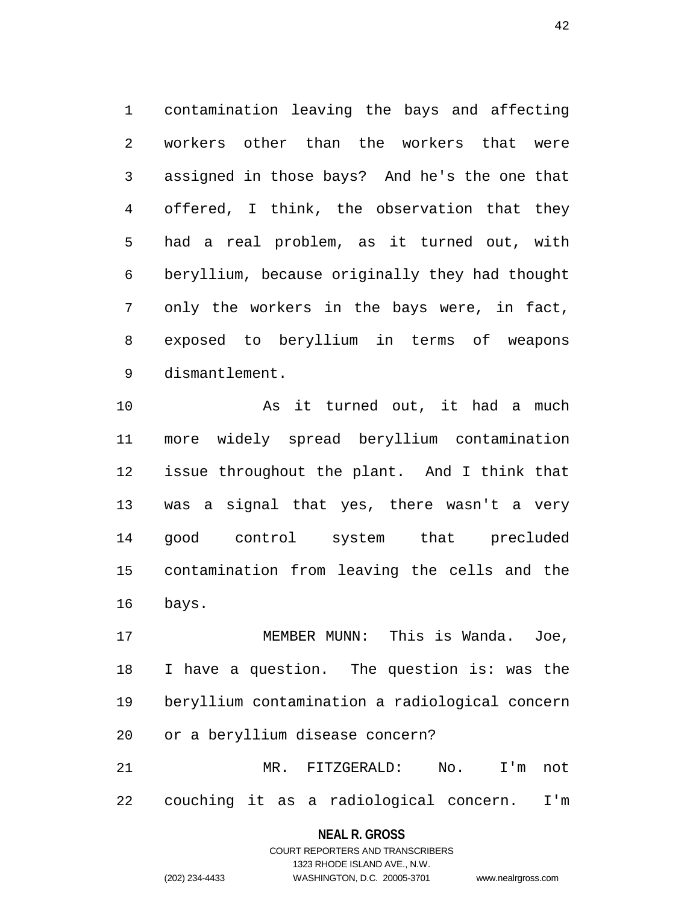1 contamination leaving the bays and affecting 2 workers other than the workers that were 3 assigned in those bays? And he's the one that 4 offered, I think, the observation that they 5 had a real problem, as it turned out, with 6 beryllium, because originally they had thought 7 only the workers in the bays were, in fact, 8 exposed to beryllium in terms of weapons 9 dismantlement.

10 As it turned out, it had a much 11 more widely spread beryllium contamination 12 issue throughout the plant. And I think that 13 was a signal that yes, there wasn't a very 14 good control system that precluded 15 contamination from leaving the cells and the 16 bays.

17 MEMBER MUNN: This is Wanda. Joe, 18 I have a question. The question is: was the 19 beryllium contamination a radiological concern 20 or a beryllium disease concern?

21 MR. FITZGERALD: No. I'm not 22 couching it as a radiological concern. I'm

#### **NEAL R. GROSS**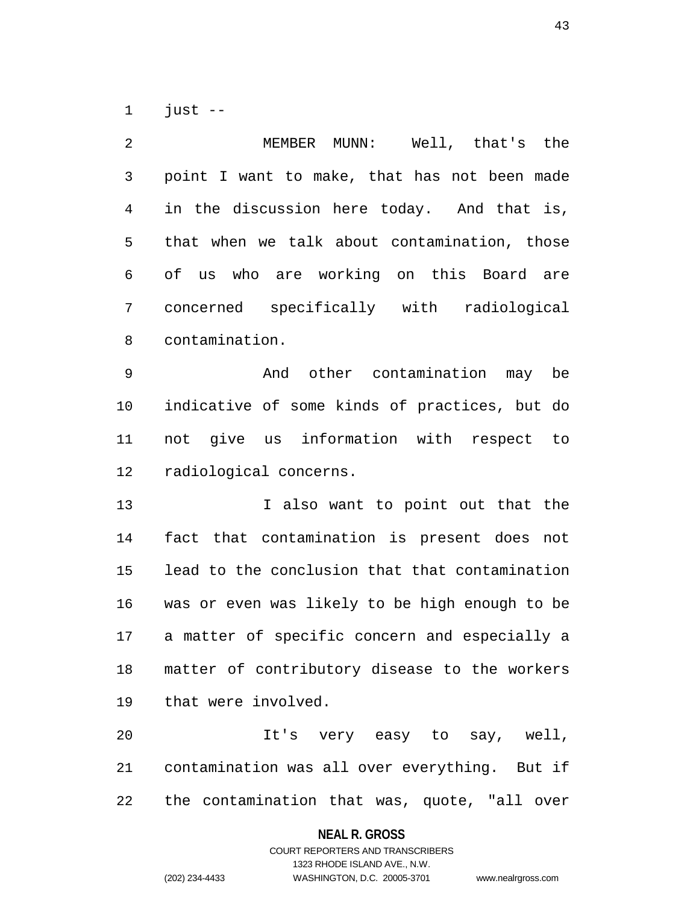1 just --

| 2              | Well, that's the<br>MEMBER MUNN:               |
|----------------|------------------------------------------------|
| $\mathfrak{Z}$ | point I want to make, that has not been made   |
| 4              | in the discussion here today. And that is,     |
| 5              | that when we talk about contamination, those   |
| 6              | of us who are working on this Board are        |
| 7              | concerned specifically with radiological       |
| 8              | contamination.                                 |
| 9              | And other contamination may be                 |
| 10             | indicative of some kinds of practices, but do  |
| 11             | not give us information with respect to        |
| 12             | radiological concerns.                         |
| 13             | I also want to point out that the              |
| 14             | fact that contamination is present does<br>not |
| 15             | lead to the conclusion that that contamination |
| 16             | was or even was likely to be high enough to be |
| 17             | a matter of specific concern and especially a  |
| 18             | matter of contributory disease to the workers  |
| 19             | that were involved.                            |
| 20             | It's very easy to say, well,                   |
| 21             | contamination was all over everything. But if  |
| 22             | the contamination that was, quote, "all over   |

**NEAL R. GROSS**

# COURT REPORTERS AND TRANSCRIBERS 1323 RHODE ISLAND AVE., N.W. (202) 234-4433 WASHINGTON, D.C. 20005-3701 www.nealrgross.com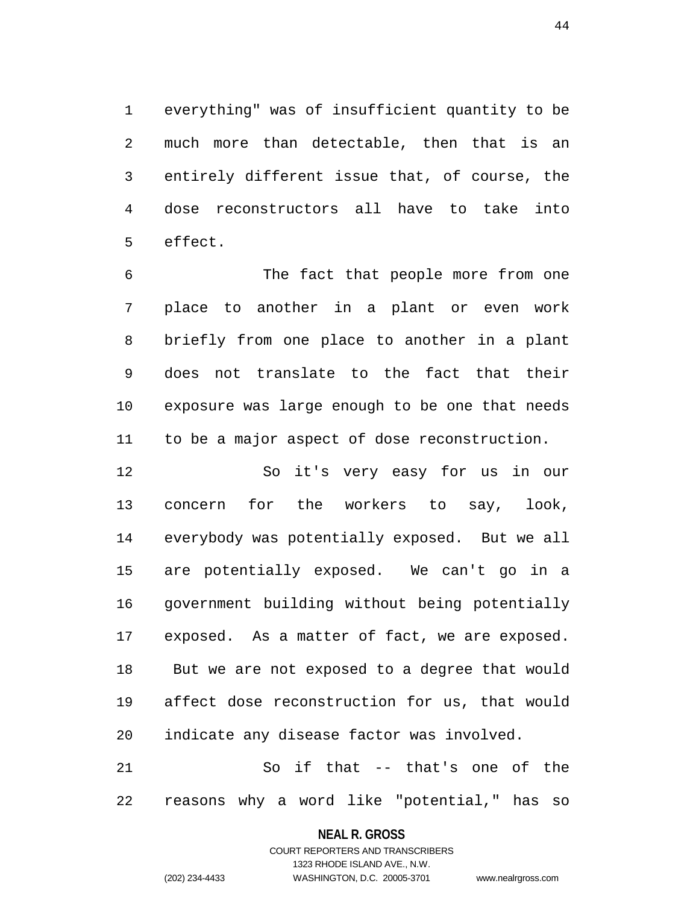1 everything" was of insufficient quantity to be 2 much more than detectable, then that is an 3 entirely different issue that, of course, the 4 dose reconstructors all have to take into 5 effect.

6 The fact that people more from one 7 place to another in a plant or even work 8 briefly from one place to another in a plant 9 does not translate to the fact that their 10 exposure was large enough to be one that needs 11 to be a major aspect of dose reconstruction.

12 So it's very easy for us in our 13 concern for the workers to say, look, 14 everybody was potentially exposed. But we all 15 are potentially exposed. We can't go in a 16 government building without being potentially 17 exposed. As a matter of fact, we are exposed. 18 But we are not exposed to a degree that would 19 affect dose reconstruction for us, that would 20 indicate any disease factor was involved.

21 So if that -- that's one of the 22 reasons why a word like "potential," has so

#### **NEAL R. GROSS**

COURT REPORTERS AND TRANSCRIBERS 1323 RHODE ISLAND AVE., N.W. (202) 234-4433 WASHINGTON, D.C. 20005-3701 www.nealrgross.com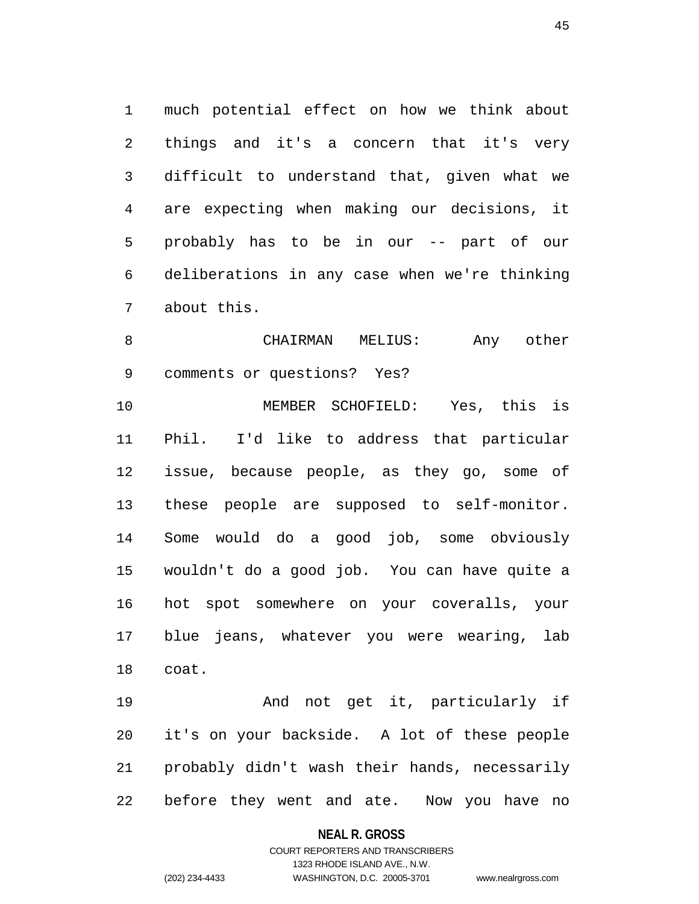1 much potential effect on how we think about 2 things and it's a concern that it's very 3 difficult to understand that, given what we 4 are expecting when making our decisions, it 5 probably has to be in our -- part of our 6 deliberations in any case when we're thinking 7 about this.

8 CHAIRMAN MELIUS: Any other 9 comments or questions? Yes?

10 MEMBER SCHOFIELD: Yes, this is 11 Phil. I'd like to address that particular 12 issue, because people, as they go, some of 13 these people are supposed to self-monitor. 14 Some would do a good job, some obviously 15 wouldn't do a good job. You can have quite a 16 hot spot somewhere on your coveralls, your 17 blue jeans, whatever you were wearing, lab 18 coat.

19 And not get it, particularly if 20 it's on your backside. A lot of these people 21 probably didn't wash their hands, necessarily 22 before they went and ate. Now you have no

#### **NEAL R. GROSS**

### COURT REPORTERS AND TRANSCRIBERS 1323 RHODE ISLAND AVE., N.W. (202) 234-4433 WASHINGTON, D.C. 20005-3701 www.nealrgross.com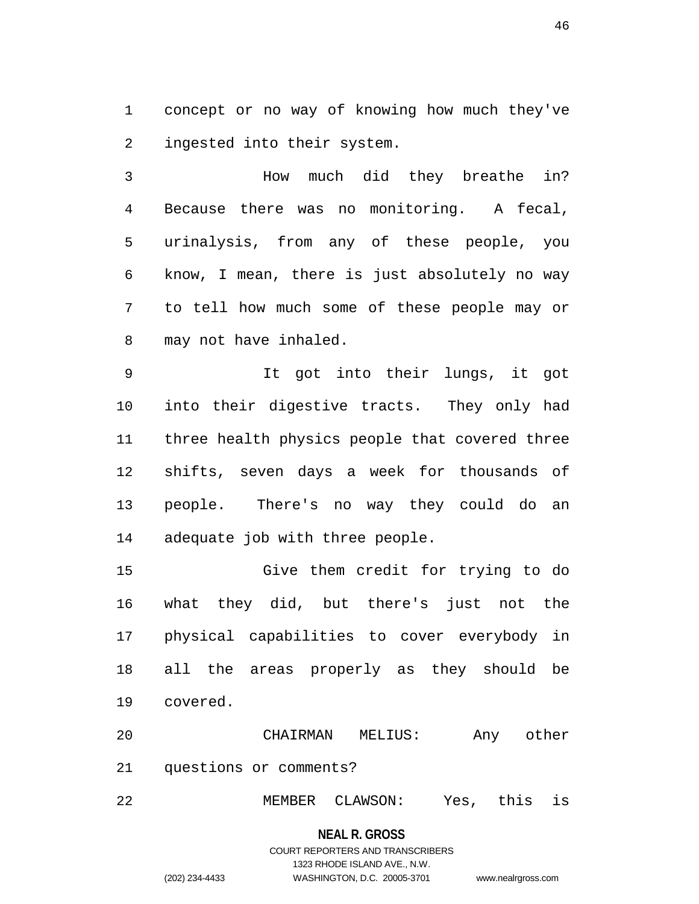1 concept or no way of knowing how much they've 2 ingested into their system.

3 How much did they breathe in? 4 Because there was no monitoring. A fecal, 5 urinalysis, from any of these people, you 6 know, I mean, there is just absolutely no way 7 to tell how much some of these people may or 8 may not have inhaled.

9 It got into their lungs, it got 10 into their digestive tracts. They only had 11 three health physics people that covered three 12 shifts, seven days a week for thousands of 13 people. There's no way they could do an 14 adequate job with three people.

15 Give them credit for trying to do 16 what they did, but there's just not the 17 physical capabilities to cover everybody in 18 all the areas properly as they should be 19 covered.

20 CHAIRMAN MELIUS: Any other 21 questions or comments?

22 MEMBER CLAWSON: Yes, this is

**NEAL R. GROSS** COURT REPORTERS AND TRANSCRIBERS 1323 RHODE ISLAND AVE., N.W. (202) 234-4433 WASHINGTON, D.C. 20005-3701 www.nealrgross.com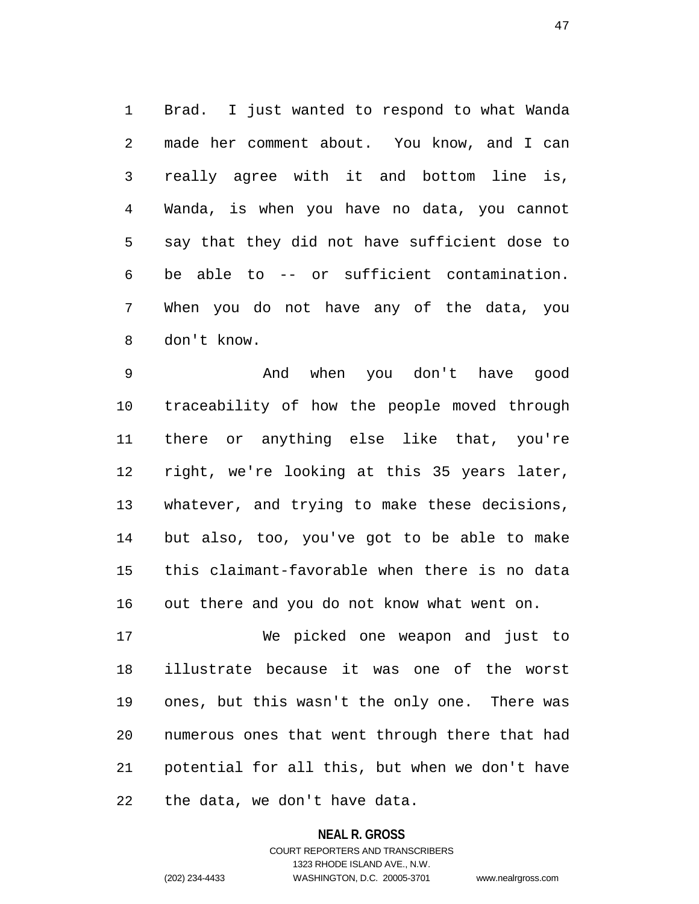1 Brad. I just wanted to respond to what Wanda 2 made her comment about. You know, and I can 3 really agree with it and bottom line is, 4 Wanda, is when you have no data, you cannot 5 say that they did not have sufficient dose to 6 be able to -- or sufficient contamination. 7 When you do not have any of the data, you 8 don't know.

9 And when you don't have good 10 traceability of how the people moved through 11 there or anything else like that, you're 12 right, we're looking at this 35 years later, 13 whatever, and trying to make these decisions, 14 but also, too, you've got to be able to make 15 this claimant-favorable when there is no data 16 out there and you do not know what went on.

17 We picked one weapon and just to 18 illustrate because it was one of the worst 19 ones, but this wasn't the only one. There was 20 numerous ones that went through there that had 21 potential for all this, but when we don't have 22 the data, we don't have data.

#### **NEAL R. GROSS**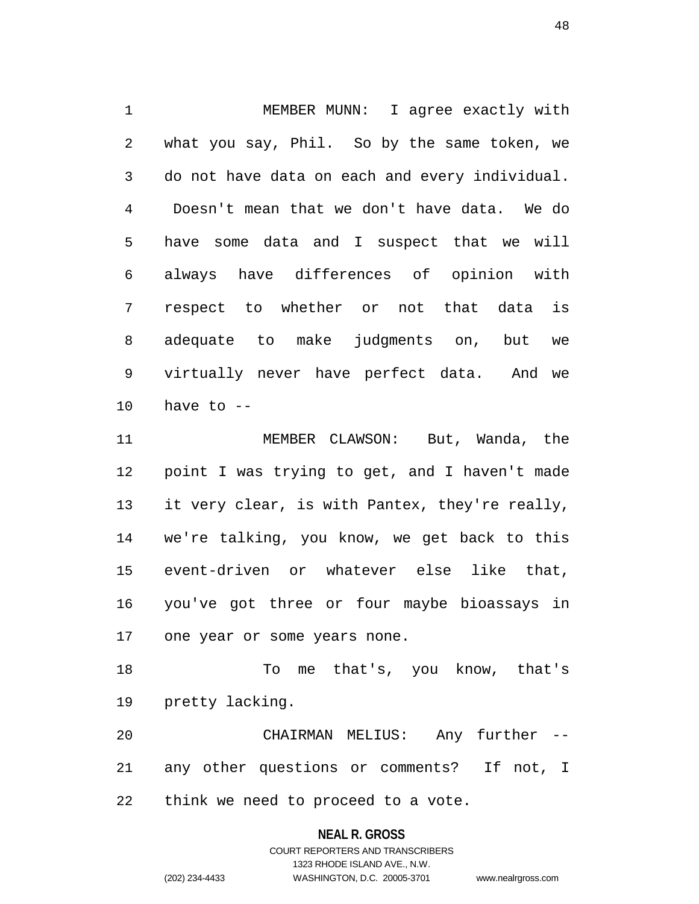1 MEMBER MUNN: I agree exactly with 2 what you say, Phil. So by the same token, we 3 do not have data on each and every individual. 4 Doesn't mean that we don't have data. We do 5 have some data and I suspect that we will 6 always have differences of opinion with 7 respect to whether or not that data is 8 adequate to make judgments on, but we 9 virtually never have perfect data. And we  $10$  have to  $-$ 

11 MEMBER CLAWSON: But, Wanda, the 12 point I was trying to get, and I haven't made 13 it very clear, is with Pantex, they're really, 14 we're talking, you know, we get back to this 15 event-driven or whatever else like that, 16 you've got three or four maybe bioassays in 17 one year or some years none.

18 To me that's, you know, that's 19 pretty lacking.

20 CHAIRMAN MELIUS: Any further -- 21 any other questions or comments? If not, I 22 think we need to proceed to a vote.

#### **NEAL R. GROSS**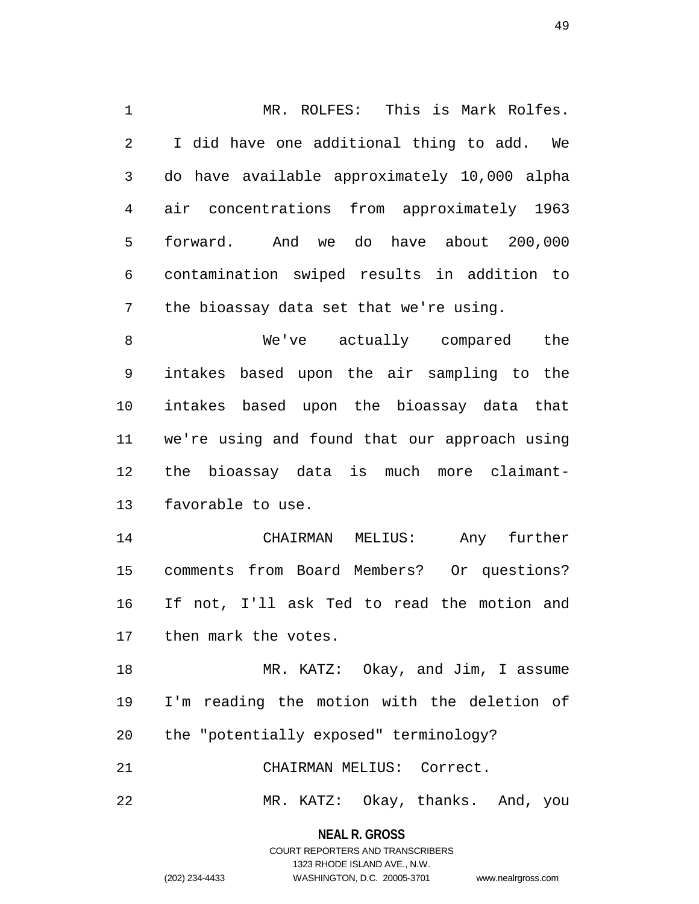1 MR. ROLFES: This is Mark Rolfes. 2 I did have one additional thing to add. We 3 do have available approximately 10,000 alpha 4 air concentrations from approximately 1963 5 forward. And we do have about 200,000 6 contamination swiped results in addition to 7 the bioassay data set that we're using.

8 We've actually compared the 9 intakes based upon the air sampling to the 10 intakes based upon the bioassay data that 11 we're using and found that our approach using 12 the bioassay data is much more claimant-13 favorable to use.

14 CHAIRMAN MELIUS: Any further 15 comments from Board Members? Or questions? 16 If not, I'll ask Ted to read the motion and 17 then mark the votes.

18 MR. KATZ: Okay, and Jim, I assume 19 I'm reading the motion with the deletion of 20 the "potentially exposed" terminology?

21 CHAIRMAN MELIUS: Correct.

22 MR. KATZ: Okay, thanks. And, you

**NEAL R. GROSS** COURT REPORTERS AND TRANSCRIBERS

1323 RHODE ISLAND AVE., N.W.

(202) 234-4433 WASHINGTON, D.C. 20005-3701 www.nealrgross.com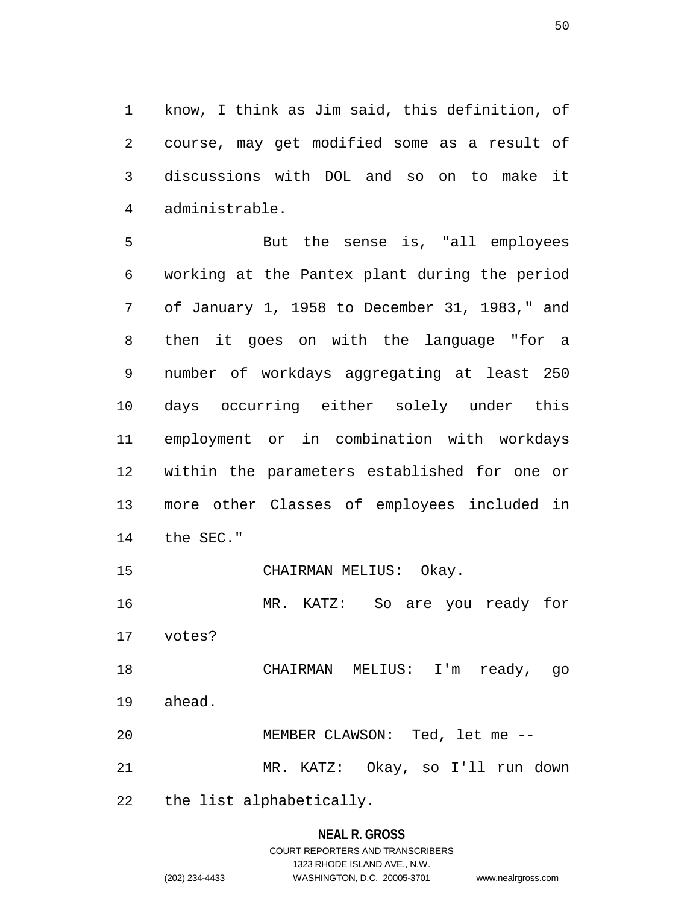1 know, I think as Jim said, this definition, of 2 course, may get modified some as a result of 3 discussions with DOL and so on to make it 4 administrable.

5 But the sense is, "all employees 6 working at the Pantex plant during the period 7 of January 1, 1958 to December 31, 1983," and 8 then it goes on with the language "for a 9 number of workdays aggregating at least 250 10 days occurring either solely under this 11 employment or in combination with workdays 12 within the parameters established for one or 13 more other Classes of employees included in 14 the SEC."

15 CHAIRMAN MELIUS: Okay.

16 MR. KATZ: So are you ready for

17 votes?

18 CHAIRMAN MELIUS: I'm ready, go 19 ahead.

20 MEMBER CLAWSON: Ted, let me -- 21 MR. KATZ: Okay, so I'll run down

22 the list alphabetically.

# **NEAL R. GROSS** COURT REPORTERS AND TRANSCRIBERS 1323 RHODE ISLAND AVE., N.W.

(202) 234-4433 WASHINGTON, D.C. 20005-3701 www.nealrgross.com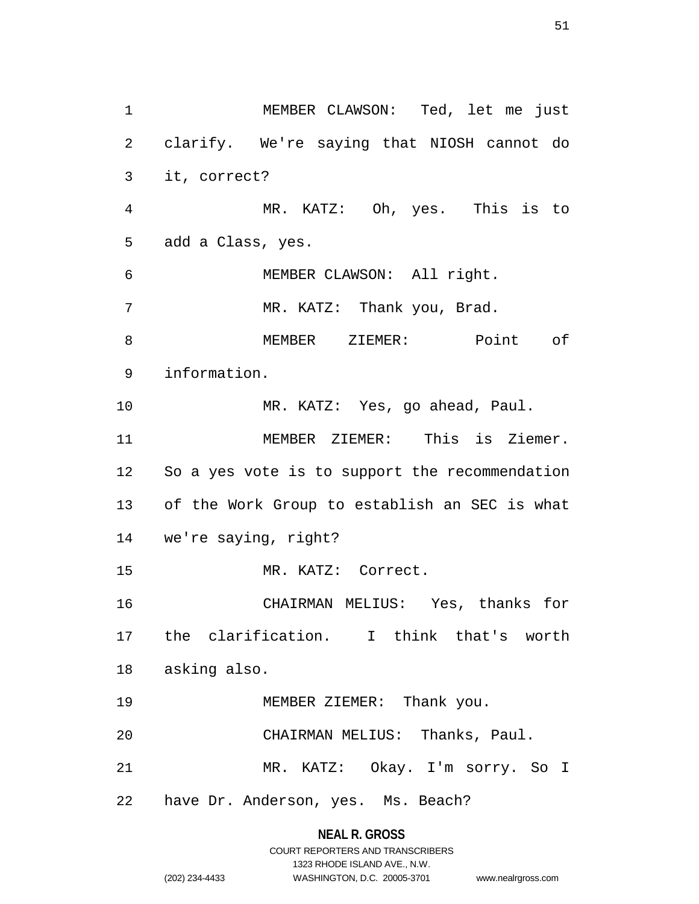1 MEMBER CLAWSON: Ted, let me just 2 clarify. We're saying that NIOSH cannot do 3 it, correct? 4 MR. KATZ: Oh, yes. This is to 5 add a Class, yes. 6 MEMBER CLAWSON: All right. 7 MR. KATZ: Thank you, Brad. 8 MEMBER ZIEMER: Point of 9 information. 10 MR. KATZ: Yes, go ahead, Paul. 11 MEMBER ZIEMER: This is Ziemer. 12 So a yes vote is to support the recommendation 13 of the Work Group to establish an SEC is what 14 we're saying, right? 15 MR. KATZ: Correct. 16 CHAIRMAN MELIUS: Yes, thanks for 17 the clarification. I think that's worth 18 asking also. 19 MEMBER ZIEMER: Thank you. 20 CHAIRMAN MELIUS: Thanks, Paul. 21 MR. KATZ: Okay. I'm sorry. So I 22 have Dr. Anderson, yes. Ms. Beach?

### **NEAL R. GROSS**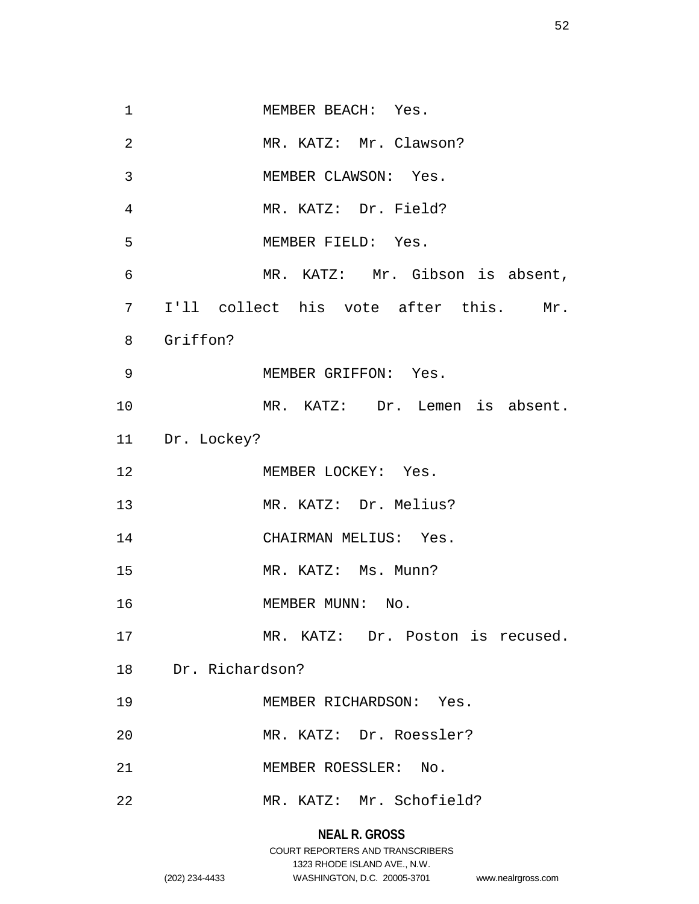| $\mathbf 1$    | MEMBER BEACH: Yes.                    |
|----------------|---------------------------------------|
| $\overline{2}$ | MR. KATZ: Mr. Clawson?                |
| 3              | MEMBER CLAWSON: Yes.                  |
| 4              | MR. KATZ: Dr. Field?                  |
| 5              | MEMBER FIELD: Yes.                    |
| $\epsilon$     | MR. KATZ: Mr. Gibson is absent,       |
| 7              | I'll collect his vote after this. Mr. |
| 8              | Griffon?                              |
| 9              | MEMBER GRIFFON: Yes.                  |
| 10             | MR. KATZ: Dr. Lemen is absent.        |
|                | 11 Dr. Lockey?                        |
| 12             | MEMBER LOCKEY: Yes.                   |
| 13             | MR. KATZ: Dr. Melius?                 |
| 14             | CHAIRMAN MELIUS: Yes.                 |
| 15             | MR. KATZ: Ms. Munn?                   |
| 16             | MEMBER MUNN: No.                      |
| 17             | MR. KATZ: Dr. Poston is recused.      |
|                | 18 Dr. Richardson?                    |
| 19             | MEMBER RICHARDSON: Yes.               |
| 20             | MR. KATZ: Dr. Roessler?               |
| 21             | MEMBER ROESSLER: No.                  |
|                |                                       |

# **NEAL R. GROSS** COURT REPORTERS AND TRANSCRIBERS 1323 RHODE ISLAND AVE., N.W. (202) 234-4433 WASHINGTON, D.C. 20005-3701 www.nealrgross.com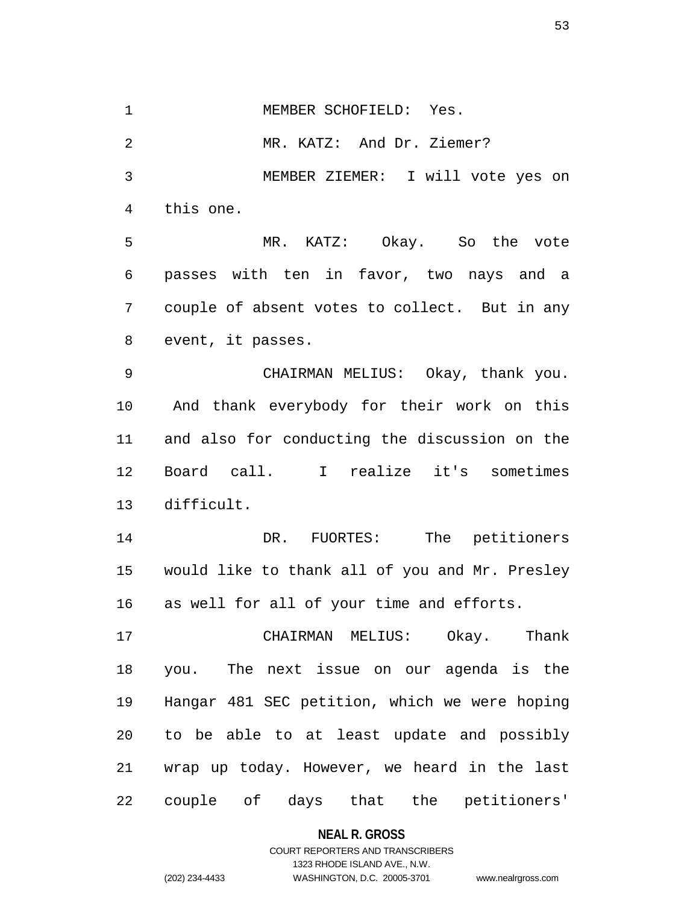1 MEMBER SCHOFIELD: Yes.

2 MR. KATZ: And Dr. Ziemer?

3 MEMBER ZIEMER: I will vote yes on 4 this one.

5 MR. KATZ: Okay. So the vote 6 passes with ten in favor, two nays and a 7 couple of absent votes to collect. But in any 8 event, it passes.

9 CHAIRMAN MELIUS: Okay, thank you. 10 And thank everybody for their work on this 11 and also for conducting the discussion on the 12 Board call. I realize it's sometimes 13 difficult.

14 DR. FUORTES: The petitioners 15 would like to thank all of you and Mr. Presley 16 as well for all of your time and efforts.

17 CHAIRMAN MELIUS: Okay. Thank 18 you. The next issue on our agenda is the 19 Hangar 481 SEC petition, which we were hoping 20 to be able to at least update and possibly 21 wrap up today. However, we heard in the last 22 couple of days that the petitioners'

**NEAL R. GROSS**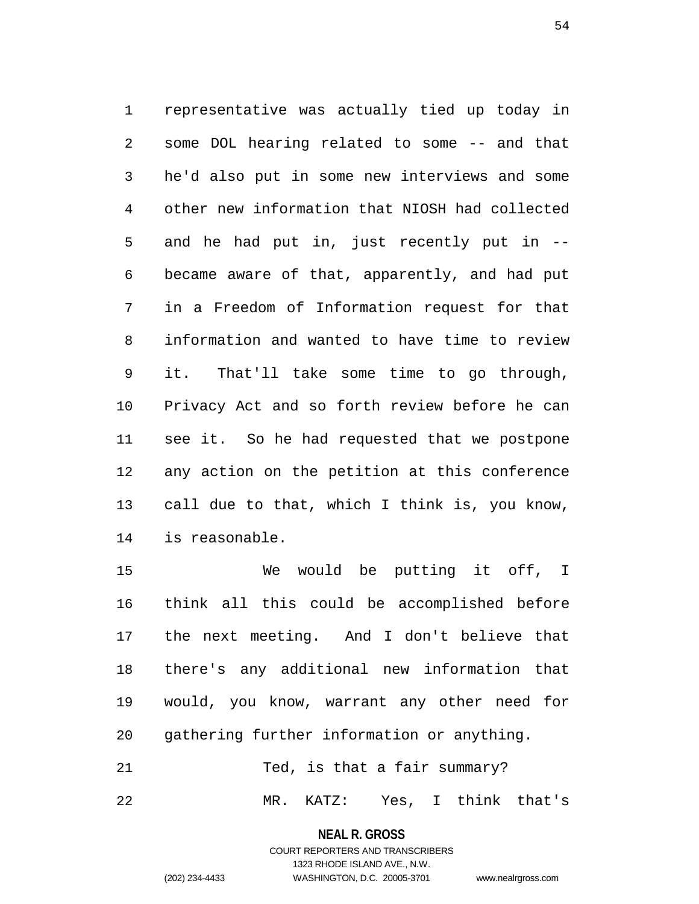1 representative was actually tied up today in 2 some DOL hearing related to some -- and that 3 he'd also put in some new interviews and some 4 other new information that NIOSH had collected 5 and he had put in, just recently put in -- 6 became aware of that, apparently, and had put 7 in a Freedom of Information request for that 8 information and wanted to have time to review 9 it. That'll take some time to go through, 10 Privacy Act and so forth review before he can 11 see it. So he had requested that we postpone 12 any action on the petition at this conference 13 call due to that, which I think is, you know, 14 is reasonable.

15 We would be putting it off, I 16 think all this could be accomplished before 17 the next meeting. And I don't believe that 18 there's any additional new information that 19 would, you know, warrant any other need for 20 gathering further information or anything.

21 Ted, is that a fair summary?

22 MR. KATZ: Yes, I think that's

**NEAL R. GROSS** COURT REPORTERS AND TRANSCRIBERS

1323 RHODE ISLAND AVE., N.W.

(202) 234-4433 WASHINGTON, D.C. 20005-3701 www.nealrgross.com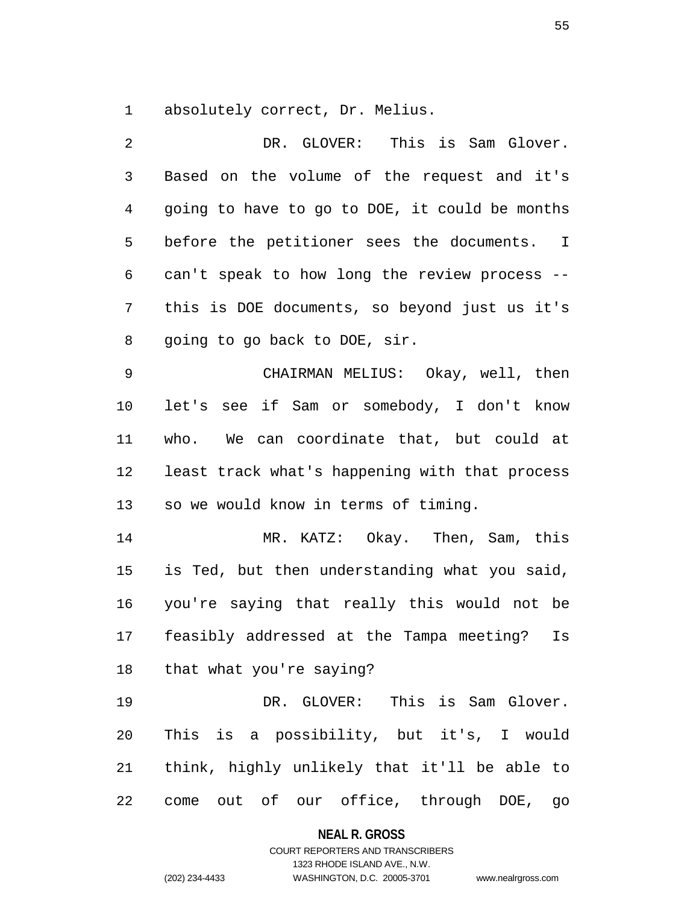1 absolutely correct, Dr. Melius.

2 DR. GLOVER: This is Sam Glover. 3 Based on the volume of the request and it's 4 going to have to go to DOE, it could be months 5 before the petitioner sees the documents. I 6 can't speak to how long the review process -- 7 this is DOE documents, so beyond just us it's 8 going to go back to DOE, sir. 9 CHAIRMAN MELIUS: Okay, well, then 10 let's see if Sam or somebody, I don't know 11 who. We can coordinate that, but could at 12 least track what's happening with that process 13 so we would know in terms of timing. 14 MR. KATZ: Okay. Then, Sam, this 15 is Ted, but then understanding what you said, 16 you're saying that really this would not be 17 feasibly addressed at the Tampa meeting? Is 18 that what you're saying? 19 DR. GLOVER: This is Sam Glover. 20 This is a possibility, but it's, I would 21 think, highly unlikely that it'll be able to 22 come out of our office, through DOE, go

**NEAL R. GROSS**

COURT REPORTERS AND TRANSCRIBERS 1323 RHODE ISLAND AVE., N.W. (202) 234-4433 WASHINGTON, D.C. 20005-3701 www.nealrgross.com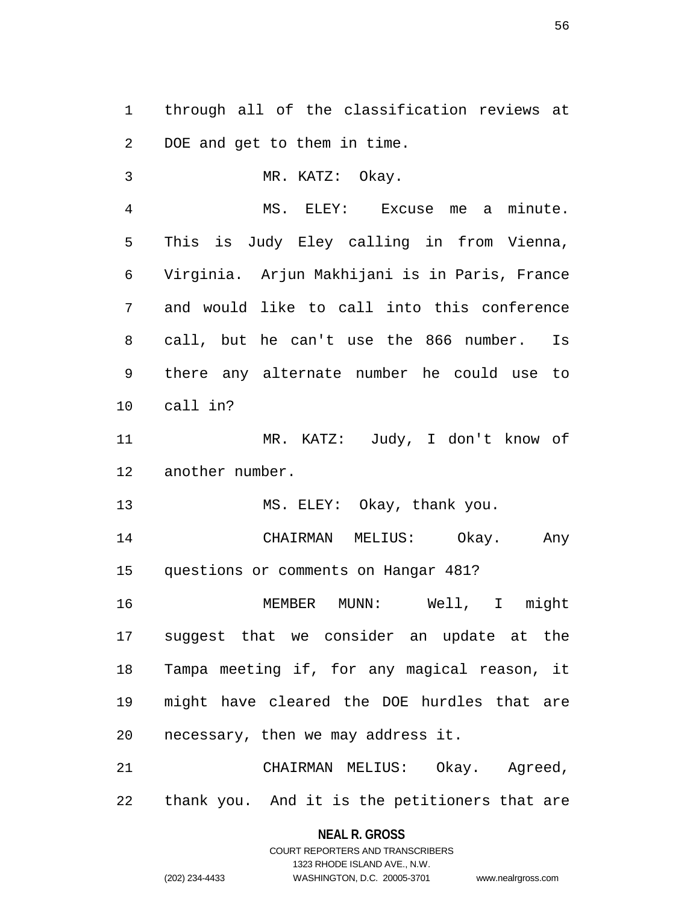1 through all of the classification reviews at 2 DOE and get to them in time.

3 MR. KATZ: Okay.

4 MS. ELEY: Excuse me a minute. 5 This is Judy Eley calling in from Vienna, 6 Virginia. Arjun Makhijani is in Paris, France 7 and would like to call into this conference 8 call, but he can't use the 866 number. Is 9 there any alternate number he could use to 10 call in?

11 MR. KATZ: Judy, I don't know of 12 another number.

13 MS. ELEY: Okay, thank you.

14 CHAIRMAN MELIUS: Okay. Any 15 questions or comments on Hangar 481?

16 MEMBER MUNN: Well, I might 17 suggest that we consider an update at the 18 Tampa meeting if, for any magical reason, it 19 might have cleared the DOE hurdles that are 20 necessary, then we may address it.

21 CHAIRMAN MELIUS: Okay. Agreed, 22 thank you. And it is the petitioners that are

> **NEAL R. GROSS** COURT REPORTERS AND TRANSCRIBERS

> > 1323 RHODE ISLAND AVE., N.W.

(202) 234-4433 WASHINGTON, D.C. 20005-3701 www.nealrgross.com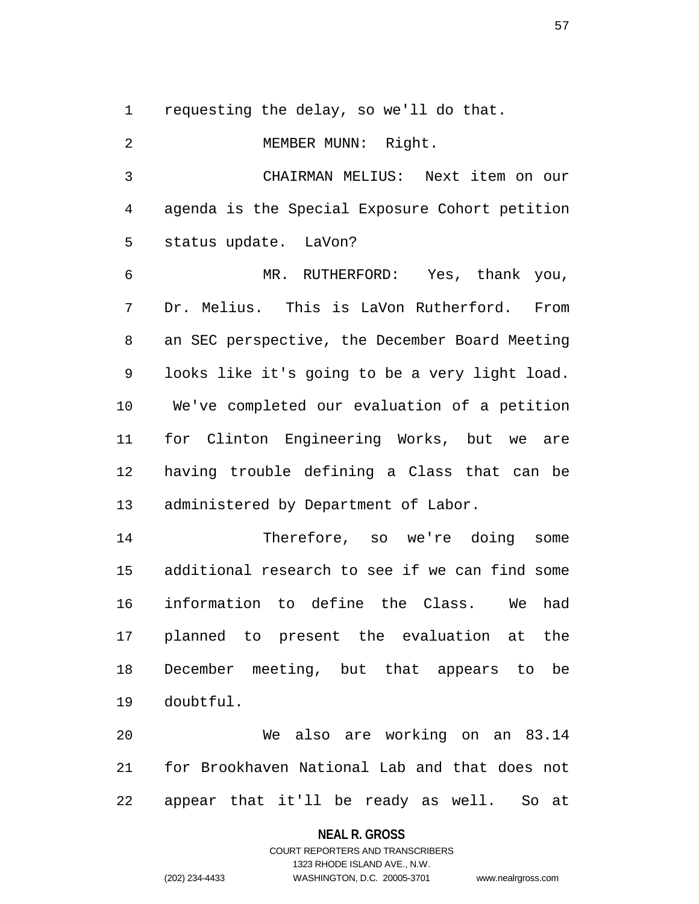1 requesting the delay, so we'll do that.

2 MEMBER MUNN: Right. 3 CHAIRMAN MELIUS: Next item on our 4 agenda is the Special Exposure Cohort petition 5 status update. LaVon? 6 MR. RUTHERFORD: Yes, thank you, 7 Dr. Melius. This is LaVon Rutherford. From 8 an SEC perspective, the December Board Meeting 9 looks like it's going to be a very light load. 10 We've completed our evaluation of a petition 11 for Clinton Engineering Works, but we are 12 having trouble defining a Class that can be 13 administered by Department of Labor. 14 Therefore, so we're doing some 15 additional research to see if we can find some 16 information to define the Class. We had 17 planned to present the evaluation at the 18 December meeting, but that appears to be 19 doubtful. 20 We also are working on an 83.14 21 for Brookhaven National Lab and that does not

22 appear that it'll be ready as well. So at

#### **NEAL R. GROSS**

COURT REPORTERS AND TRANSCRIBERS 1323 RHODE ISLAND AVE., N.W. (202) 234-4433 WASHINGTON, D.C. 20005-3701 www.nealrgross.com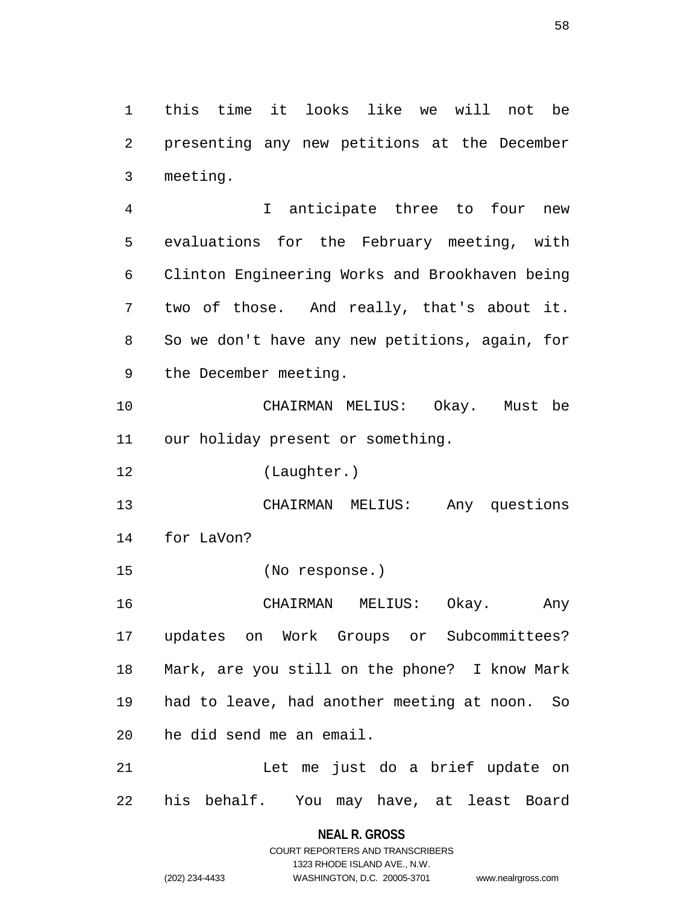1 this time it looks like we will not be 2 presenting any new petitions at the December 3 meeting.

4 I anticipate three to four new 5 evaluations for the February meeting, with 6 Clinton Engineering Works and Brookhaven being 7 two of those. And really, that's about it. 8 So we don't have any new petitions, again, for 9 the December meeting.

10 CHAIRMAN MELIUS: Okay. Must be 11 our holiday present or something.

12 (Laughter.)

13 CHAIRMAN MELIUS: Any questions 14 for LaVon?

15 (No response.)

16 CHAIRMAN MELIUS: Okay. Any 17 updates on Work Groups or Subcommittees? 18 Mark, are you still on the phone? I know Mark 19 had to leave, had another meeting at noon. So 20 he did send me an email.

21 Let me just do a brief update on 22 his behalf. You may have, at least Board

> **NEAL R. GROSS** COURT REPORTERS AND TRANSCRIBERS 1323 RHODE ISLAND AVE., N.W.

(202) 234-4433 WASHINGTON, D.C. 20005-3701 www.nealrgross.com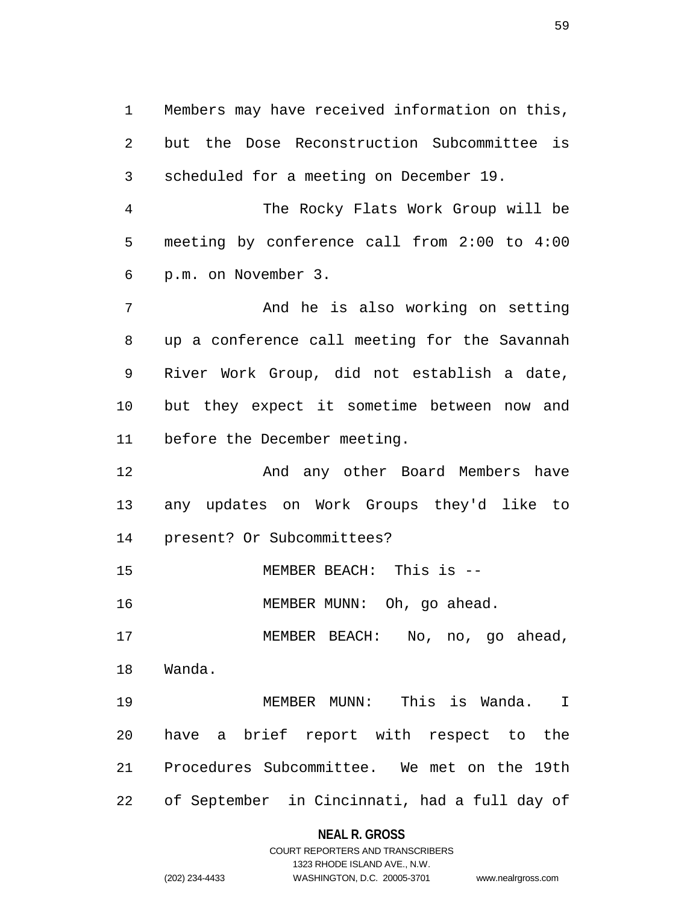1 Members may have received information on this, 2 but the Dose Reconstruction Subcommittee is 3 scheduled for a meeting on December 19.

4 The Rocky Flats Work Group will be 5 meeting by conference call from 2:00 to 4:00 6 p.m. on November 3.

7 And he is also working on setting 8 up a conference call meeting for the Savannah 9 River Work Group, did not establish a date, 10 but they expect it sometime between now and 11 before the December meeting.

12 And any other Board Members have 13 any updates on Work Groups they'd like to 14 present? Or Subcommittees?

15 MEMBER BEACH: This is --

16 MEMBER MUNN: Oh, go ahead.

17 MEMBER BEACH: No, no, go ahead, 18 Wanda.

19 MEMBER MUNN: This is Wanda. I 20 have a brief report with respect to the 21 Procedures Subcommittee. We met on the 19th 22 of September in Cincinnati, had a full day of

### **NEAL R. GROSS**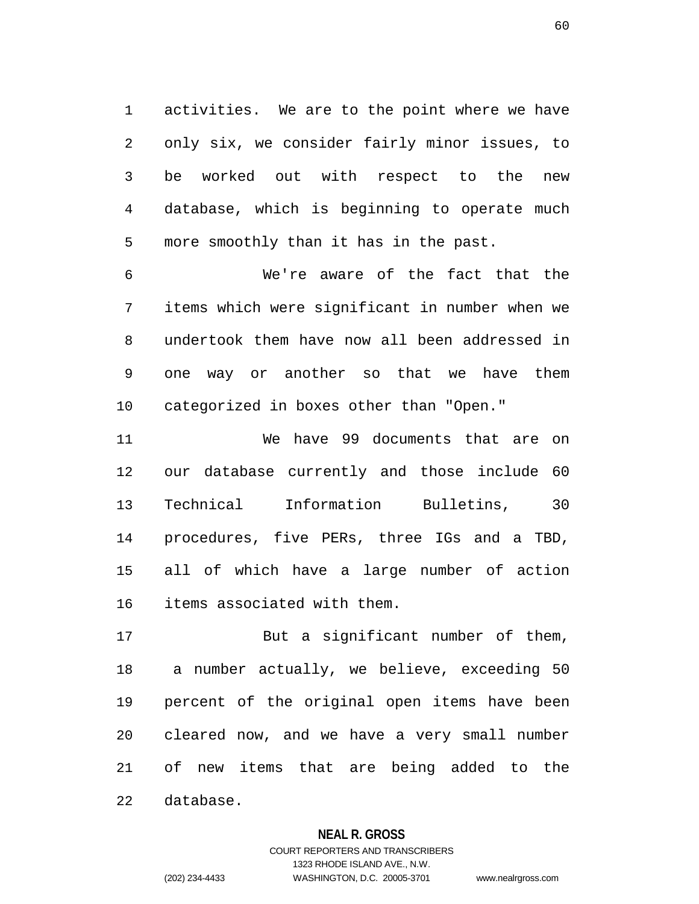1 activities. We are to the point where we have 2 only six, we consider fairly minor issues, to 3 be worked out with respect to the new 4 database, which is beginning to operate much 5 more smoothly than it has in the past.

6 We're aware of the fact that the 7 items which were significant in number when we 8 undertook them have now all been addressed in 9 one way or another so that we have them 10 categorized in boxes other than "Open."

11 We have 99 documents that are on 12 our database currently and those include 60 13 Technical Information Bulletins, 30 14 procedures, five PERs, three IGs and a TBD, 15 all of which have a large number of action 16 items associated with them.

17 But a significant number of them, 18 a number actually, we believe, exceeding 50 19 percent of the original open items have been 20 cleared now, and we have a very small number 21 of new items that are being added to the 22 database.

#### **NEAL R. GROSS**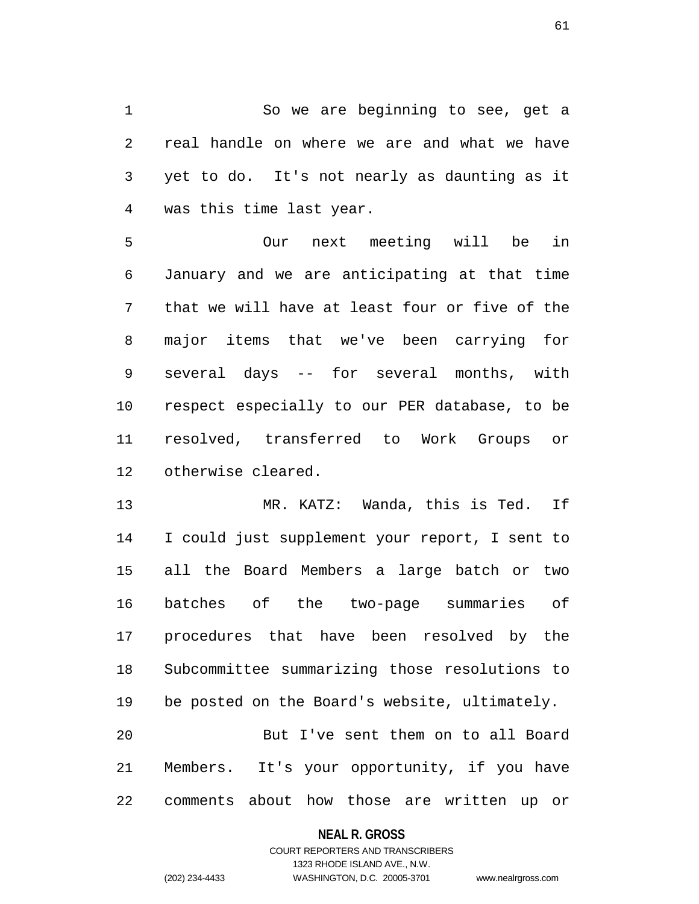1 So we are beginning to see, get a 2 real handle on where we are and what we have 3 yet to do. It's not nearly as daunting as it 4 was this time last year.

5 Our next meeting will be in 6 January and we are anticipating at that time 7 that we will have at least four or five of the 8 major items that we've been carrying for 9 several days -- for several months, with 10 respect especially to our PER database, to be 11 resolved, transferred to Work Groups or 12 otherwise cleared.

13 MR. KATZ: Wanda, this is Ted. If 14 I could just supplement your report, I sent to 15 all the Board Members a large batch or two 16 batches of the two-page summaries of 17 procedures that have been resolved by the 18 Subcommittee summarizing those resolutions to 19 be posted on the Board's website, ultimately. 20 But I've sent them on to all Board 21 Members. It's your opportunity, if you have

22 comments about how those are written up or

#### **NEAL R. GROSS**

### COURT REPORTERS AND TRANSCRIBERS 1323 RHODE ISLAND AVE., N.W. (202) 234-4433 WASHINGTON, D.C. 20005-3701 www.nealrgross.com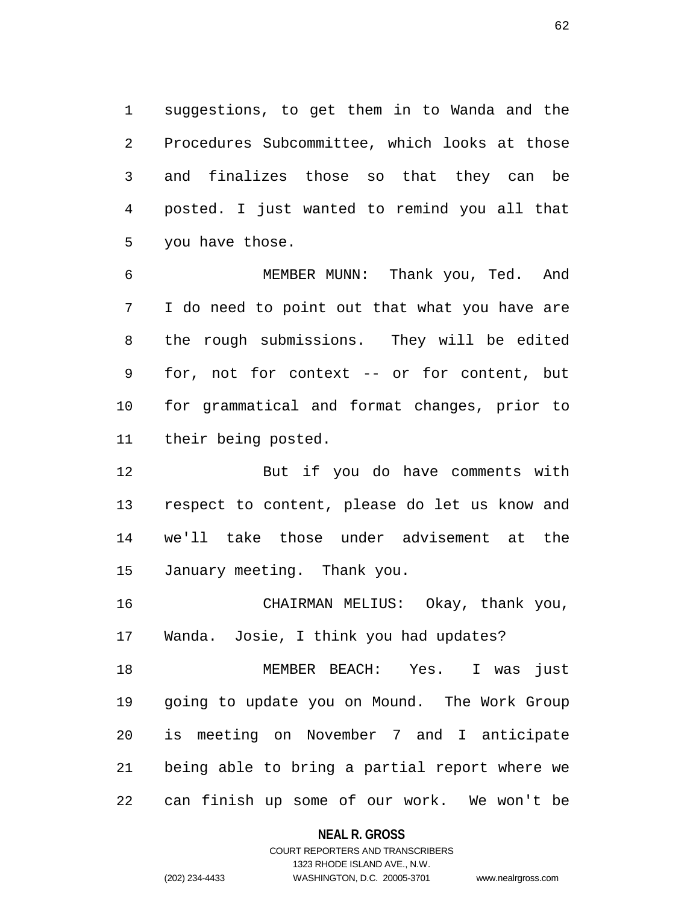1 suggestions, to get them in to Wanda and the 2 Procedures Subcommittee, which looks at those 3 and finalizes those so that they can be 4 posted. I just wanted to remind you all that 5 you have those.

6 MEMBER MUNN: Thank you, Ted. And 7 I do need to point out that what you have are 8 the rough submissions. They will be edited 9 for, not for context -- or for content, but 10 for grammatical and format changes, prior to 11 their being posted.

12 But if you do have comments with 13 respect to content, please do let us know and 14 we'll take those under advisement at the 15 January meeting. Thank you.

16 CHAIRMAN MELIUS: Okay, thank you, 17 Wanda. Josie, I think you had updates?

18 MEMBER BEACH: Yes. I was just 19 going to update you on Mound. The Work Group 20 is meeting on November 7 and I anticipate 21 being able to bring a partial report where we 22 can finish up some of our work. We won't be

**NEAL R. GROSS**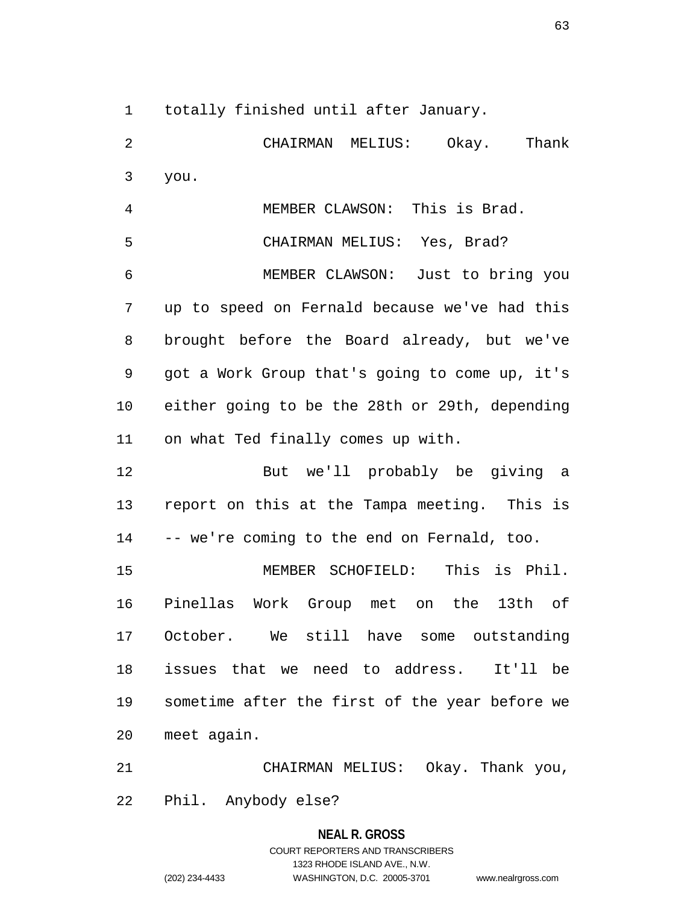1 totally finished until after January.

2 CHAIRMAN MELIUS: Okay. Thank 3 you. 4 MEMBER CLAWSON: This is Brad. 5 CHAIRMAN MELIUS: Yes, Brad? 6 MEMBER CLAWSON: Just to bring you 7 up to speed on Fernald because we've had this 8 brought before the Board already, but we've 9 got a Work Group that's going to come up, it's 10 either going to be the 28th or 29th, depending 11 on what Ted finally comes up with.

12 But we'll probably be giving a 13 report on this at the Tampa meeting. This is 14 -- we're coming to the end on Fernald, too.

15 MEMBER SCHOFIELD: This is Phil. 16 Pinellas Work Group met on the 13th of 17 October. We still have some outstanding 18 issues that we need to address. It'll be 19 sometime after the first of the year before we 20 meet again.

21 CHAIRMAN MELIUS: Okay. Thank you, 22 Phil. Anybody else?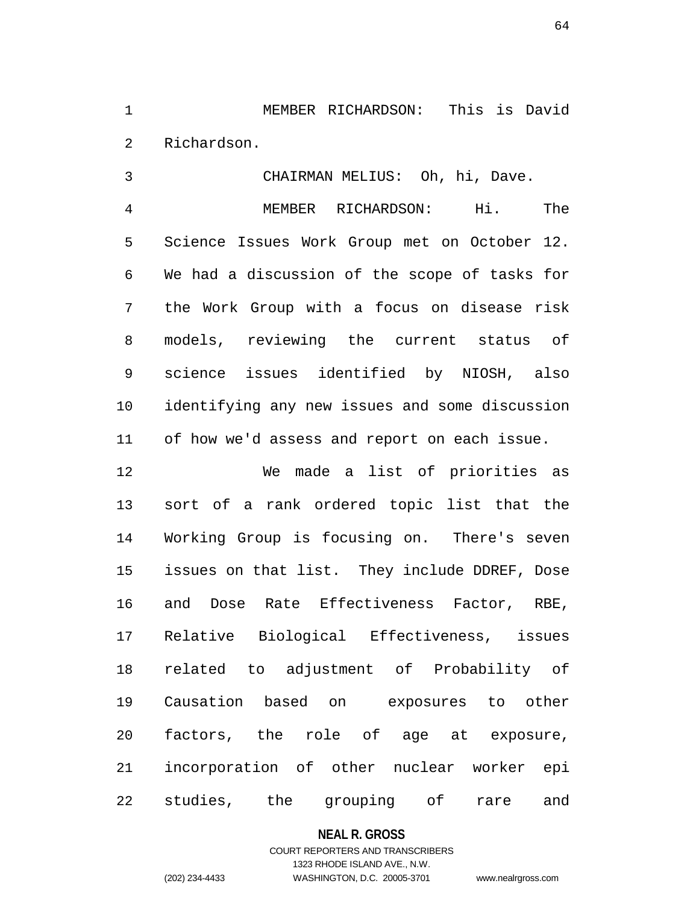1 MEMBER RICHARDSON: This is David 2 Richardson.

3 CHAIRMAN MELIUS: Oh, hi, Dave. 4 MEMBER RICHARDSON: Hi. The 5 Science Issues Work Group met on October 12. 6 We had a discussion of the scope of tasks for 7 the Work Group with a focus on disease risk 8 models, reviewing the current status of 9 science issues identified by NIOSH, also 10 identifying any new issues and some discussion 11 of how we'd assess and report on each issue.

12 We made a list of priorities as 13 sort of a rank ordered topic list that the 14 Working Group is focusing on. There's seven 15 issues on that list. They include DDREF, Dose 16 and Dose Rate Effectiveness Factor, RBE, 17 Relative Biological Effectiveness, issues 18 related to adjustment of Probability of 19 Causation based on exposures to other 20 factors, the role of age at exposure, 21 incorporation of other nuclear worker epi 22 studies, the grouping of rare and

#### **NEAL R. GROSS**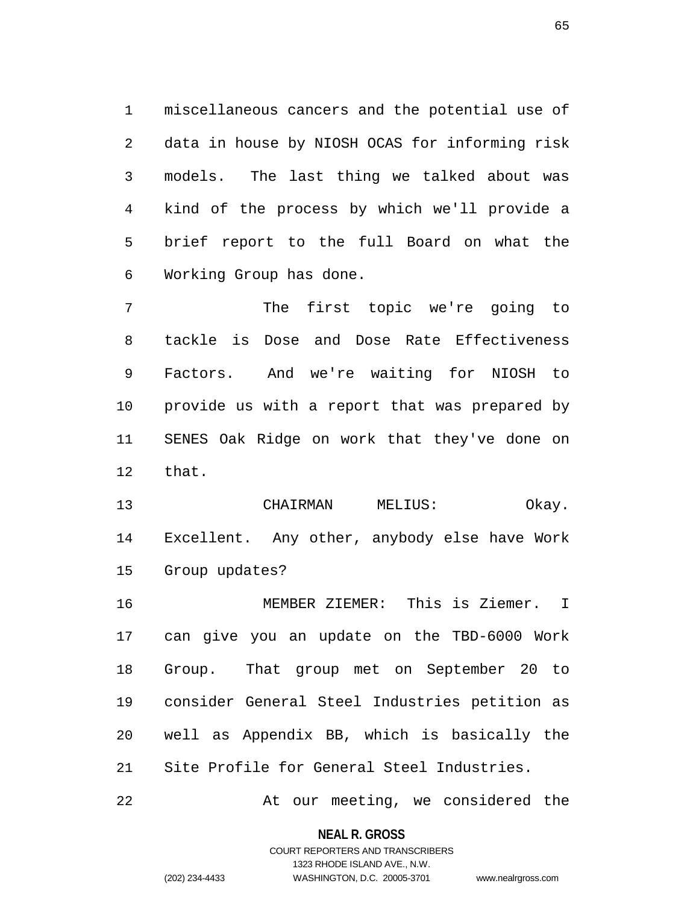1 miscellaneous cancers and the potential use of 2 data in house by NIOSH OCAS for informing risk 3 models. The last thing we talked about was 4 kind of the process by which we'll provide a 5 brief report to the full Board on what the 6 Working Group has done.

7 The first topic we're going to 8 tackle is Dose and Dose Rate Effectiveness 9 Factors. And we're waiting for NIOSH to 10 provide us with a report that was prepared by 11 SENES Oak Ridge on work that they've done on 12 that.

13 CHAIRMAN MELIUS: Okay. 14 Excellent. Any other, anybody else have Work 15 Group updates?

16 MEMBER ZIEMER: This is Ziemer. I 17 can give you an update on the TBD-6000 Work 18 Group. That group met on September 20 to 19 consider General Steel Industries petition as 20 well as Appendix BB, which is basically the 21 Site Profile for General Steel Industries.

22 At our meeting, we considered the

**NEAL R. GROSS** COURT REPORTERS AND TRANSCRIBERS

1323 RHODE ISLAND AVE., N.W.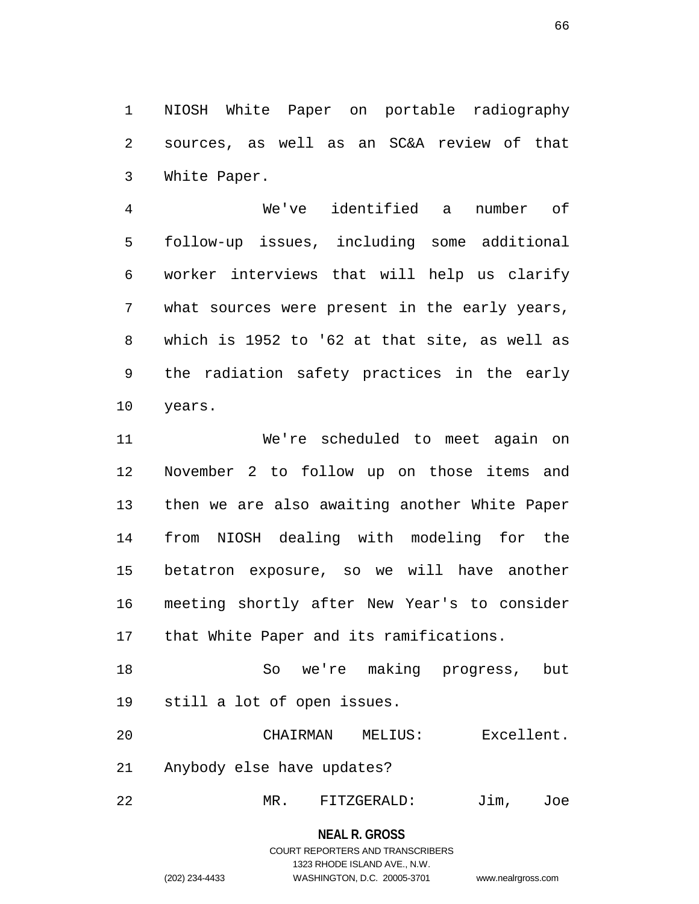1 NIOSH White Paper on portable radiography 2 sources, as well as an SC&A review of that 3 White Paper.

4 We've identified a number of 5 follow-up issues, including some additional 6 worker interviews that will help us clarify 7 what sources were present in the early years, 8 which is 1952 to '62 at that site, as well as 9 the radiation safety practices in the early 10 years.

11 We're scheduled to meet again on 12 November 2 to follow up on those items and 13 then we are also awaiting another White Paper 14 from NIOSH dealing with modeling for the 15 betatron exposure, so we will have another 16 meeting shortly after New Year's to consider 17 that White Paper and its ramifications.

18 So we're making progress, but 19 still a lot of open issues.

20 CHAIRMAN MELIUS: Excellent. 21 Anybody else have updates?

22 MR. FITZGERALD: Jim, Joe

# **NEAL R. GROSS** COURT REPORTERS AND TRANSCRIBERS 1323 RHODE ISLAND AVE., N.W. (202) 234-4433 WASHINGTON, D.C. 20005-3701 www.nealrgross.com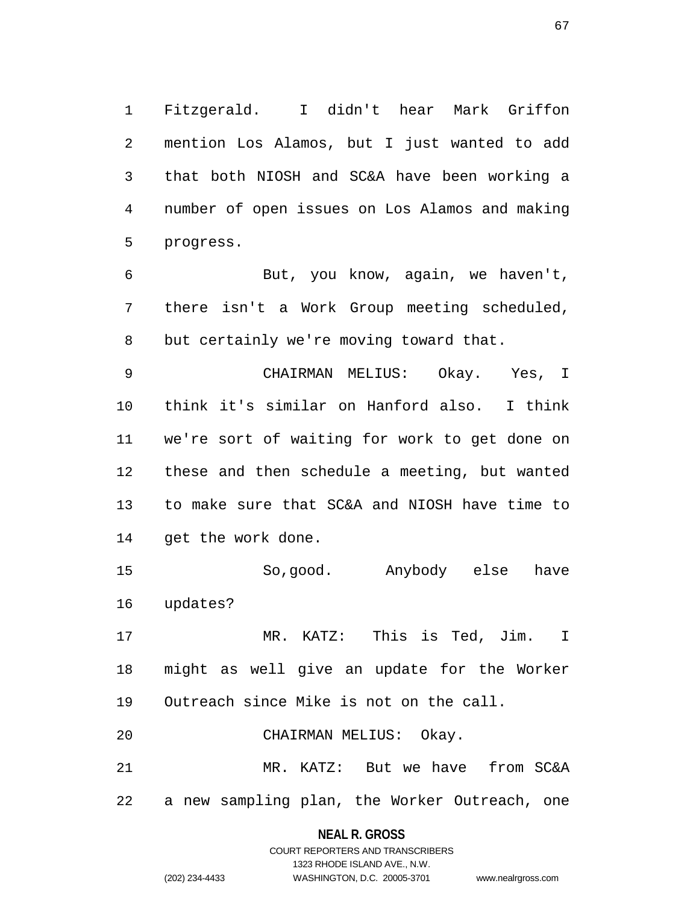1 Fitzgerald. I didn't hear Mark Griffon 2 mention Los Alamos, but I just wanted to add 3 that both NIOSH and SC&A have been working a 4 number of open issues on Los Alamos and making 5 progress.

6 But, you know, again, we haven't, 7 there isn't a Work Group meeting scheduled, 8 but certainly we're moving toward that.

9 CHAIRMAN MELIUS: Okay. Yes, I 10 think it's similar on Hanford also. I think 11 we're sort of waiting for work to get done on 12 these and then schedule a meeting, but wanted 13 to make sure that SC&A and NIOSH have time to 14 get the work done.

15 So,good. Anybody else have 16 updates?

17 MR. KATZ: This is Ted, Jim. I 18 might as well give an update for the Worker 19 Outreach since Mike is not on the call.

20 CHAIRMAN MELIUS: Okay.

21 MR. KATZ: But we have from SC&A 22 a new sampling plan, the Worker Outreach, one

#### **NEAL R. GROSS**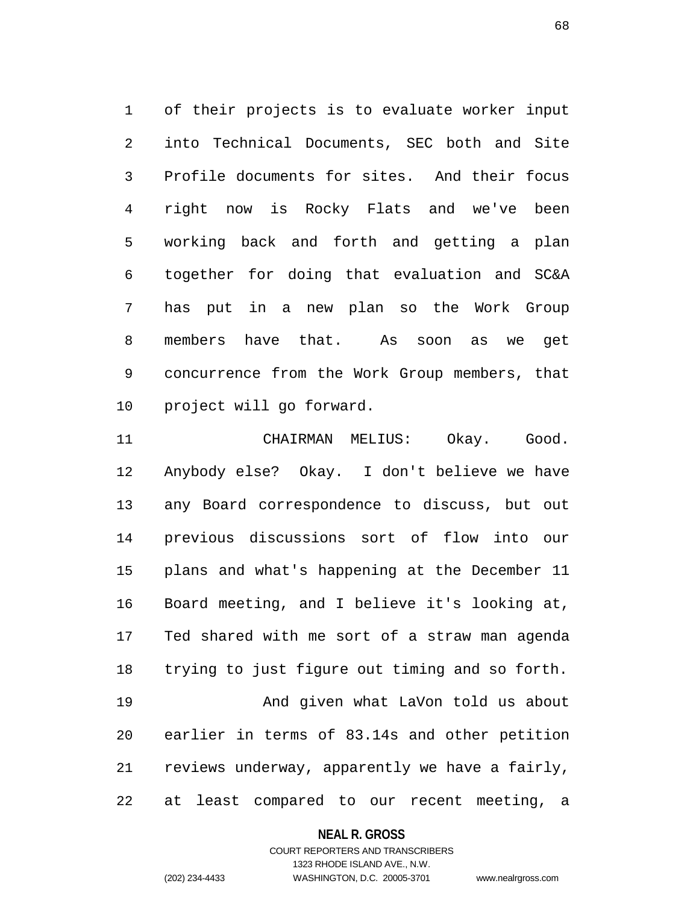1 of their projects is to evaluate worker input 2 into Technical Documents, SEC both and Site 3 Profile documents for sites. And their focus 4 right now is Rocky Flats and we've been 5 working back and forth and getting a plan 6 together for doing that evaluation and SC&A 7 has put in a new plan so the Work Group 8 members have that. As soon as we get 9 concurrence from the Work Group members, that 10 project will go forward.

11 CHAIRMAN MELIUS: Okay. Good. 12 Anybody else? Okay. I don't believe we have 13 any Board correspondence to discuss, but out 14 previous discussions sort of flow into our 15 plans and what's happening at the December 11 16 Board meeting, and I believe it's looking at, 17 Ted shared with me sort of a straw man agenda 18 trying to just figure out timing and so forth. 19 And given what LaVon told us about 20 earlier in terms of 83.14s and other petition 21 reviews underway, apparently we have a fairly, 22 at least compared to our recent meeting, a

#### **NEAL R. GROSS**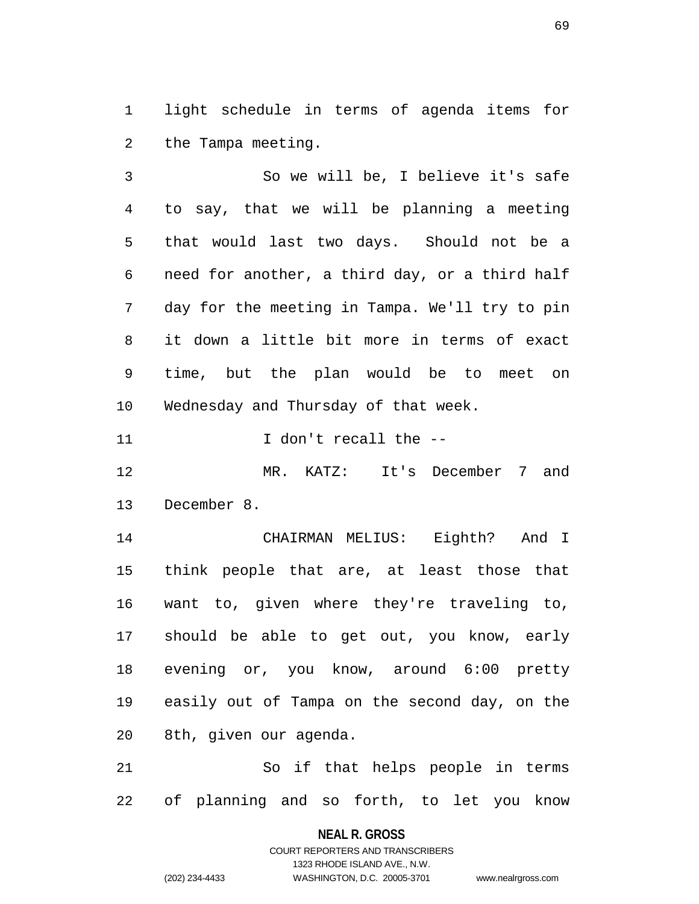1 light schedule in terms of agenda items for 2 the Tampa meeting.

3 So we will be, I believe it's safe 4 to say, that we will be planning a meeting 5 that would last two days. Should not be a 6 need for another, a third day, or a third half 7 day for the meeting in Tampa. We'll try to pin 8 it down a little bit more in terms of exact 9 time, but the plan would be to meet on 10 Wednesday and Thursday of that week.

11 1000 I don't recall the  $-$ 

12 MR. KATZ: It's December 7 and 13 December 8.

14 CHAIRMAN MELIUS: Eighth? And I 15 think people that are, at least those that 16 want to, given where they're traveling to, 17 should be able to get out, you know, early 18 evening or, you know, around 6:00 pretty 19 easily out of Tampa on the second day, on the 20 8th, given our agenda.

21 So if that helps people in terms 22 of planning and so forth, to let you know

> **NEAL R. GROSS** COURT REPORTERS AND TRANSCRIBERS

> > 1323 RHODE ISLAND AVE., N.W.

(202) 234-4433 WASHINGTON, D.C. 20005-3701 www.nealrgross.com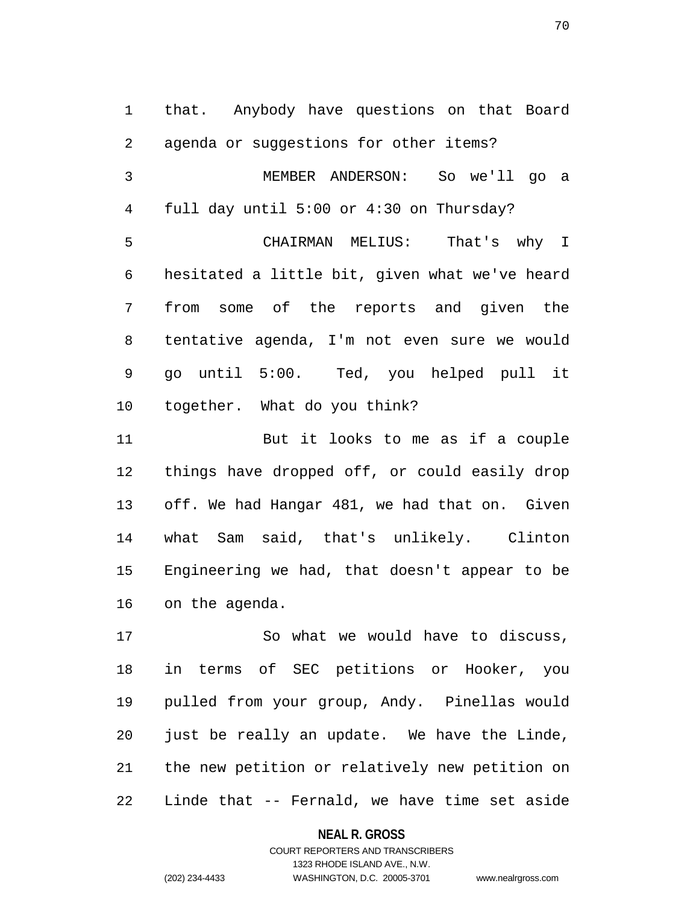1 that. Anybody have questions on that Board 2 agenda or suggestions for other items? 3 MEMBER ANDERSON: So we'll go a 4 full day until 5:00 or 4:30 on Thursday? 5 CHAIRMAN MELIUS: That's why I 6 hesitated a little bit, given what we've heard 7 from some of the reports and given the 8 tentative agenda, I'm not even sure we would 9 go until 5:00. Ted, you helped pull it 10 together. What do you think?

11 But it looks to me as if a couple 12 things have dropped off, or could easily drop 13 off. We had Hangar 481, we had that on. Given 14 what Sam said, that's unlikely. Clinton 15 Engineering we had, that doesn't appear to be 16 on the agenda.

17 So what we would have to discuss, 18 in terms of SEC petitions or Hooker, you 19 pulled from your group, Andy. Pinellas would 20 just be really an update. We have the Linde, 21 the new petition or relatively new petition on 22 Linde that -- Fernald, we have time set aside

#### **NEAL R. GROSS**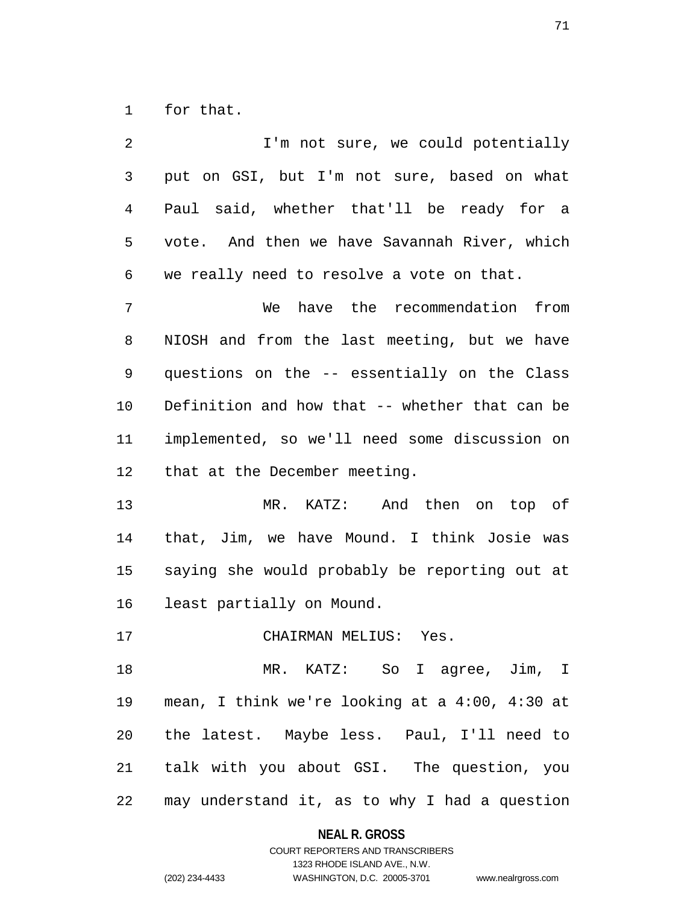1 for that.

| 2              | I'm not sure, we could potentially             |
|----------------|------------------------------------------------|
| $\mathfrak{Z}$ | put on GSI, but I'm not sure, based on what    |
| 4              | Paul said, whether that'll be ready for a      |
| 5              | vote. And then we have Savannah River, which   |
| 6              | we really need to resolve a vote on that.      |
| 7              | have the recommendation from<br>We             |
| 8              | NIOSH and from the last meeting, but we have   |
| 9              | questions on the -- essentially on the Class   |
| 10             | Definition and how that -- whether that can be |
| 11             | implemented, so we'll need some discussion on  |
| 12             | that at the December meeting.                  |
| 13             | MR. KATZ: And then on top of                   |
| 14             | that, Jim, we have Mound. I think Josie was    |
| 15             | saying she would probably be reporting out at  |
| 16             | least partially on Mound.                      |
| 17             | CHAIRMAN MELIUS: Yes.                          |
| 18             | MR. KATZ: So I agree, Jim, I                   |
| 19             | mean, I think we're looking at a 4:00, 4:30 at |
| 20             | the latest. Maybe less. Paul, I'll need to     |
| 21             | talk with you about GSI. The question, you     |
| 22             | may understand it, as to why I had a question  |

**NEAL R. GROSS**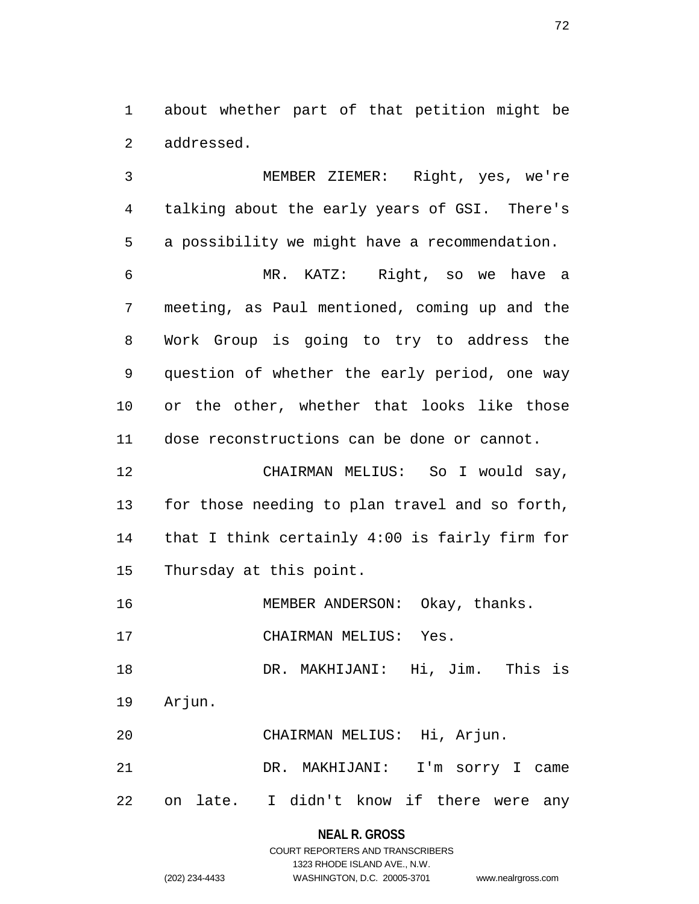1 about whether part of that petition might be 2 addressed.

3 MEMBER ZIEMER: Right, yes, we're 4 talking about the early years of GSI. There's 5 a possibility we might have a recommendation. 6 MR. KATZ: Right, so we have a 7 meeting, as Paul mentioned, coming up and the 8 Work Group is going to try to address the 9 question of whether the early period, one way 10 or the other, whether that looks like those 11 dose reconstructions can be done or cannot. 12 CHAIRMAN MELIUS: So I would say, 13 for those needing to plan travel and so forth, 14 that I think certainly 4:00 is fairly firm for 15 Thursday at this point. 16 MEMBER ANDERSON: Okay, thanks. 17 CHAIRMAN MELIUS: Yes.

18 DR. MAKHIJANI: Hi, Jim. This is 19 Arjun.

20 CHAIRMAN MELIUS: Hi, Arjun.

21 DR. MAKHIJANI: I'm sorry I came 22 on late. I didn't know if there were any

#### **NEAL R. GROSS**

### COURT REPORTERS AND TRANSCRIBERS 1323 RHODE ISLAND AVE., N.W. (202) 234-4433 WASHINGTON, D.C. 20005-3701 www.nealrgross.com